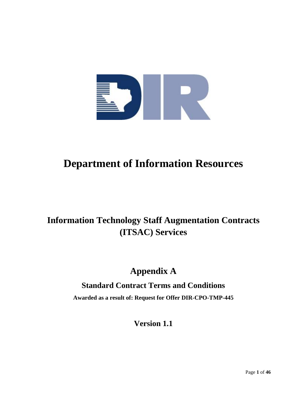

# **Department of Information Resources**

# **Information Technology Staff Augmentation Contracts (ITSAC) Services**

# **Appendix A**

# **Standard Contract Terms and Conditions**

**Awarded as a result of: Request for Offer DIR-CPO-TMP-445**

**Version 1.1**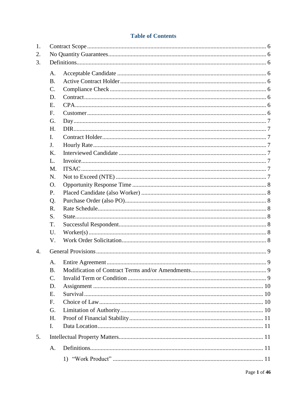# **Table of Contents**

| 1.               |                 |  |
|------------------|-----------------|--|
| 2.               |                 |  |
| 3.               |                 |  |
|                  | A.              |  |
|                  | <b>B.</b>       |  |
|                  | $\mathcal{C}$ . |  |
|                  | D.              |  |
|                  | E.              |  |
|                  | F.              |  |
|                  | G.              |  |
|                  | H.              |  |
|                  | L.              |  |
|                  | J.              |  |
|                  | K.              |  |
|                  | L.              |  |
|                  | M.              |  |
|                  | N.              |  |
|                  | <b>O.</b>       |  |
|                  | P.              |  |
|                  | Q.              |  |
|                  | R.              |  |
|                  | S.              |  |
|                  | T.              |  |
|                  | U.              |  |
|                  | V.              |  |
| $\overline{4}$ . |                 |  |
|                  | $A_{\cdot}$     |  |
|                  | <b>B.</b>       |  |
|                  | $\mathcal{C}$ . |  |
|                  | D.              |  |
|                  | Ε.              |  |
|                  | F.              |  |
|                  | G.              |  |
|                  | H.              |  |
|                  | $\mathbf{I}$ .  |  |
| 5.               |                 |  |
|                  | A.              |  |
|                  |                 |  |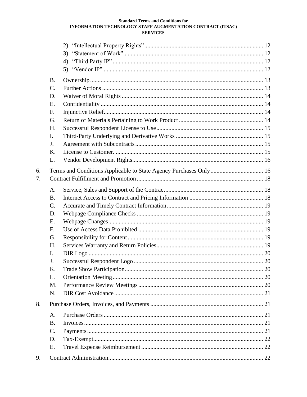|    | <b>B.</b>       |                                                                   |  |
|----|-----------------|-------------------------------------------------------------------|--|
|    | $\mathcal{C}$ . |                                                                   |  |
|    | D.              |                                                                   |  |
|    | E.              |                                                                   |  |
|    | F.              |                                                                   |  |
|    | G.              |                                                                   |  |
|    | H.              |                                                                   |  |
|    | $\mathbf{I}$ .  |                                                                   |  |
|    | J.              |                                                                   |  |
|    | K.              |                                                                   |  |
|    | L.              |                                                                   |  |
| 6. |                 | Terms and Conditions Applicable to State Agency Purchases Only 16 |  |
| 7. |                 |                                                                   |  |
|    | A.              |                                                                   |  |
|    | <b>B.</b>       |                                                                   |  |
|    | $C$ .           |                                                                   |  |
|    | D.              |                                                                   |  |
|    | E.              |                                                                   |  |
|    | F.              |                                                                   |  |
|    | G.              |                                                                   |  |
|    | H.              |                                                                   |  |
|    | $\mathbf{I}$ .  |                                                                   |  |
|    | J.              |                                                                   |  |
|    | K.              |                                                                   |  |
|    | L.              |                                                                   |  |
|    | M.              |                                                                   |  |
|    | N.              |                                                                   |  |
| 8. |                 |                                                                   |  |
|    | A.              |                                                                   |  |
|    | <b>B.</b>       |                                                                   |  |
|    | $\mathcal{C}$ . |                                                                   |  |
|    | D.              |                                                                   |  |
|    | Ε.              |                                                                   |  |
| 9. |                 |                                                                   |  |
|    |                 |                                                                   |  |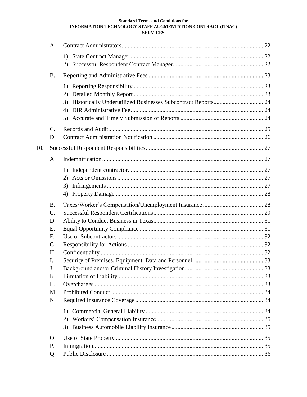|     | A.              |    |  |
|-----|-----------------|----|--|
|     |                 |    |  |
|     |                 |    |  |
|     | <b>B.</b>       |    |  |
|     |                 |    |  |
|     |                 | 2) |  |
|     |                 | 3) |  |
|     |                 | 4) |  |
|     |                 |    |  |
|     | $\mathcal{C}$ . |    |  |
|     | D.              |    |  |
| 10. |                 |    |  |
|     | A.              |    |  |
|     |                 |    |  |
|     |                 | 2) |  |
|     |                 | 3) |  |
|     |                 | 4) |  |
|     | <b>B.</b>       |    |  |
|     | $\mathbf{C}$ .  |    |  |
|     | D.              |    |  |
|     | E.              |    |  |
|     | F.              |    |  |
|     | G.              |    |  |
|     | H.              |    |  |
|     | I.              |    |  |
|     | J.              |    |  |
|     | K.              |    |  |
|     | L.              |    |  |
|     | M.              |    |  |
|     | N.              |    |  |
|     |                 | 1) |  |
|     |                 | 2) |  |
|     |                 |    |  |
|     | O.              |    |  |
|     | P.              |    |  |
|     | Q.              |    |  |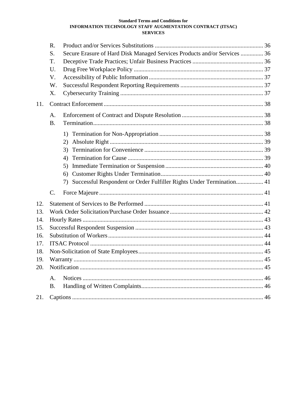|     | R.                                                                              |  |  |
|-----|---------------------------------------------------------------------------------|--|--|
|     | Secure Erasure of Hard Disk Managed Services Products and/or Services  36<br>S. |  |  |
|     | T.                                                                              |  |  |
|     | U.                                                                              |  |  |
|     | V.                                                                              |  |  |
|     | W.                                                                              |  |  |
|     | X.                                                                              |  |  |
| 11. |                                                                                 |  |  |
|     | A.                                                                              |  |  |
|     | <b>B.</b>                                                                       |  |  |
|     |                                                                                 |  |  |
|     | (2)                                                                             |  |  |
|     | 3)                                                                              |  |  |
|     | 4)                                                                              |  |  |
|     | 5)                                                                              |  |  |
|     | 6)                                                                              |  |  |
|     | 7) Successful Respondent or Order Fulfiller Rights Under Termination 41         |  |  |
|     |                                                                                 |  |  |
|     | $C$ .                                                                           |  |  |
| 12. |                                                                                 |  |  |
| 13. |                                                                                 |  |  |
| 14. |                                                                                 |  |  |
| 15. |                                                                                 |  |  |
| 16. |                                                                                 |  |  |
| 17. |                                                                                 |  |  |
| 18. |                                                                                 |  |  |
| 19. |                                                                                 |  |  |
| 20. |                                                                                 |  |  |
|     | $\mathbf{A}$ .                                                                  |  |  |
|     | <b>B.</b>                                                                       |  |  |
| 21. |                                                                                 |  |  |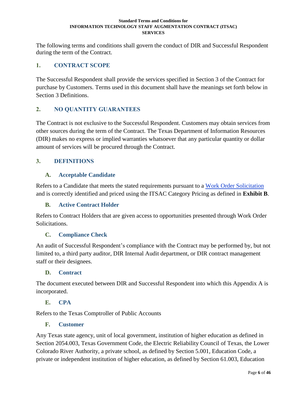The following terms and conditions shall govern the conduct of DIR and Successful Respondent during the term of the Contract.

# <span id="page-5-0"></span>**1. CONTRACT SCOPE**

The Successful Respondent shall provide the services specified in Section 3 of the Contract for purchase by Customers. Terms used in this document shall have the meanings set forth below in Section [3](#page-5-2) [Definitions.](#page-5-2)

# <span id="page-5-1"></span>**2. NO QUANTITY GUARANTEES**

The Contract is not exclusive to the Successful Respondent. Customers may obtain services from other sources during the term of the Contract. The Texas Department of Information Resources (DIR) makes no express or implied warranties whatsoever that any particular quantity or dollar amount of services will be procured through the Contract.

## <span id="page-5-2"></span>**3. DEFINITIONS**

## <span id="page-5-3"></span>**A. Acceptable Candidate**

Refers to a Candidate that meets the stated requirements pursuant to a [Work Order Solicitation](#page-7-7) and is correctly identified and priced using the ITSAC Category Pricing as defined in **Exhibit B**.

## <span id="page-5-4"></span>**B. Active Contract Holder**

Refers to Contract Holders that are given access to opportunities presented through Work Order Solicitations.

## <span id="page-5-5"></span>**C. Compliance Check**

An audit of Successful Respondent's compliance with the Contract may be performed by, but not limited to, a third party auditor, DIR Internal Audit department, or DIR contract management staff or their designees.

## <span id="page-5-6"></span>**D. Contract**

The document executed between DIR and Successful Respondent into which this Appendix A is incorporated.

## <span id="page-5-7"></span>**E. CPA**

<span id="page-5-8"></span>Refers to the Texas Comptroller of Public Accounts

## **F. Customer**

Any Texas state agency, unit of local government, institution of higher education as defined in Section 2054.003, Texas Government Code, the Electric Reliability Council of Texas, the Lower Colorado River Authority, a private school, as defined by Section 5.001, Education Code, a private or independent institution of higher education, as defined by Section 61.003, Education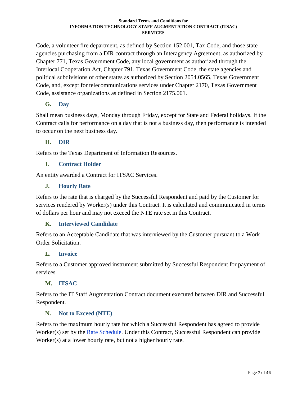Code, a volunteer fire department, as defined by Section 152.001, Tax Code, and those state agencies purchasing from a DIR contract through an Interagency Agreement, as authorized by Chapter 771, Texas Government Code, any local government as authorized through the Interlocal Cooperation Act, Chapter 791, Texas Government Code, the state agencies and political subdivisions of other states as authorized by Section 2054.0565, Texas Government Code, and, except for telecommunications services under Chapter 2170, Texas Government Code, assistance organizations as defined in Section 2175.001.

# <span id="page-6-0"></span>**G. Day**

Shall mean business days, Monday through Friday, except for State and Federal holidays. If the Contract calls for performance on a day that is not a business day, then performance is intended to occur on the next business day.

# <span id="page-6-1"></span>**H. DIR**

Refers to the Texas Department of Information Resources.

## <span id="page-6-2"></span>**I. Contract Holder**

An entity awarded a Contract for ITSAC Services.

## <span id="page-6-3"></span>**J. Hourly Rate**

Refers to the rate that is charged by the Successful Respondent and paid by the Customer for services rendered by Worker(s) under this Contract. It is calculated and communicated in terms of dollars per hour and may not exceed the NTE rate set in this Contract.

## <span id="page-6-4"></span>**K. Interviewed Candidate**

Refers to an Acceptable Candidate that was interviewed by the Customer pursuant to a Work Order Solicitation.

## <span id="page-6-5"></span>**L. Invoice**

Refers to a Customer approved instrument submitted by Successful Respondent for payment of services.

# <span id="page-6-6"></span>**M. ITSAC**

Refers to the IT Staff Augmentation Contract document executed between DIR and Successful Respondent.

## <span id="page-6-7"></span>**N. Not to Exceed (NTE)**

Refers to the maximum hourly rate for which a Successful Respondent has agreed to provide Worker(s) set by the [Rate Schedule.](#page-7-3) Under this Contract, Successful Respondent can provide Worker(s) at a lower hourly rate, but not a higher hourly rate.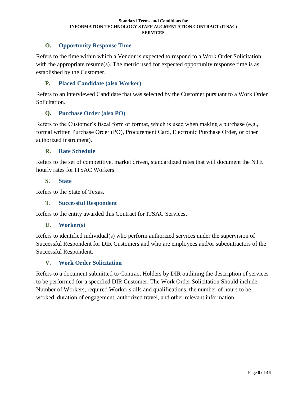# <span id="page-7-0"></span>**O. Opportunity Response Time**

Refers to the time within which a Vendor is expected to respond to a Work Order Solicitation with the appropriate resume(s). The metric used for expected opportunity response time is as established by the Customer.

## <span id="page-7-1"></span>**P. Placed Candidate (also Worker)**

Refers to an interviewed Candidate that was selected by the Customer pursuant to a Work Order Solicitation.

#### <span id="page-7-2"></span>**Q. Purchase Order (also PO)**

Refers to the Customer's fiscal form or format, which is used when making a purchase (e.g., formal written Purchase Order (PO), Procurement Card, Electronic Purchase Order, or other authorized instrument).

#### <span id="page-7-3"></span>**R. Rate Schedule**

Refers to the set of competitive, market driven, standardized rates that will document the NTE hourly rates for ITSAC Workers.

#### <span id="page-7-4"></span>**S. State**

<span id="page-7-5"></span>Refers to the State of Texas.

## **T. Successful Respondent**

<span id="page-7-6"></span>Refers to the entity awarded this Contract for ITSAC Services.

#### **U. Worker(s)**

Refers to identified individual(s) who perform authorized services under the supervision of Successful Respondent for DIR Customers and who are employees and/or subcontractors of the Successful Respondent.

## <span id="page-7-7"></span>**V. Work Order Solicitation**

Refers to a document submitted to Contract Holders by DIR outlining the description of services to be performed for a specified DIR Customer. The Work Order Solicitation Should include: Number of Workers, required Worker skills and qualifications, the number of hours to be worked, duration of engagement, authorized travel, and other relevant information.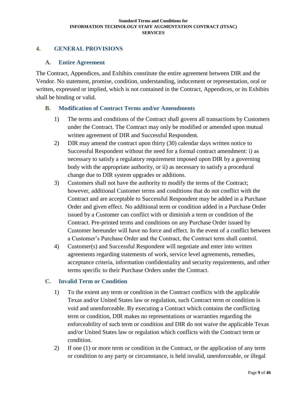## <span id="page-8-0"></span>**4. GENERAL PROVISIONS**

#### <span id="page-8-1"></span>**A. Entire Agreement**

The Contract, Appendices, and Exhibits constitute the entire agreement between DIR and the Vendor. No statement, promise, condition, understanding, inducement or representation, oral or written, expressed or implied, which is not contained in the Contract, Appendices, or its Exhibits shall be binding or valid.

#### <span id="page-8-2"></span>**B. Modification of Contract Terms and/or Amendments**

- 1) The terms and conditions of the Contract shall govern all transactions by Customers under the Contract. The Contract may only be modified or amended upon mutual written agreement of DIR and Successful Respondent.
- 2) DIR may amend the contract upon thirty (30) calendar days written notice to Successful Respondent without the need for a formal contract amendment: i) as necessary to satisfy a regulatory requirement imposed upon DIR by a governing body with the appropriate authority, or ii) as necessary to satisfy a procedural change due to DIR system upgrades or additions.
- 3) Customers shall not have the authority to modify the terms of the Contract; however, additional Customer terms and conditions that do not conflict with the Contract and are acceptable to Successful Respondent may be added in a Purchase Order and given effect. No additional term or condition added in a Purchase Order issued by a Customer can conflict with or diminish a term or condition of the Contract. Pre-printed terms and conditions on any Purchase Order issued by Customer hereunder will have no force and effect. In the event of a conflict between a Customer's Purchase Order and the Contract, the Contract term shall control.
- 4) Customer(s) and Successful Respondent will negotiate and enter into written agreements regarding statements of work, service level agreements, remedies, acceptance criteria, information confidentiality and security requirements, and other terms specific to their Purchase Orders under the Contract.

## <span id="page-8-3"></span>**C. Invalid Term or Condition**

- 1) To the extent any term or condition in the Contract conflicts with the applicable Texas and/or United States law or regulation, such Contract term or condition is void and unenforceable. By executing a Contract which contains the conflicting term or condition, DIR makes no representations or warranties regarding the enforceability of such term or condition and DIR do not waive the applicable Texas and/or United States law or regulation which conflicts with the Contract term or condition.
- 2) If one (1) or more term or condition in the Contract, or the application of any term or condition to any party or circumstance, is held invalid, unenforceable, or illegal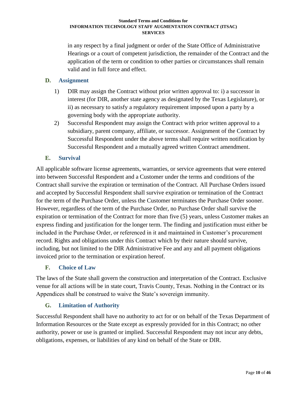in any respect by a final judgment or order of the State Office of Administrative Hearings or a court of competent jurisdiction, the remainder of the Contract and the application of the term or condition to other parties or circumstances shall remain valid and in full force and effect.

# <span id="page-9-0"></span>**D. Assignment**

- 1) DIR may assign the Contract without prior written approval to: i) a successor in interest (for DIR, another state agency as designated by the Texas Legislature), or ii) as necessary to satisfy a regulatory requirement imposed upon a party by a governing body with the appropriate authority.
- 2) Successful Respondent may assign the Contract with prior written approval to a subsidiary, parent company, affiliate, or successor. Assignment of the Contract by Successful Respondent under the above terms shall require written notification by Successful Respondent and a mutually agreed written Contract amendment.

# <span id="page-9-1"></span>**E. Survival**

All applicable software license agreements, warranties, or service agreements that were entered into between Successful Respondent and a Customer under the terms and conditions of the Contract shall survive the expiration or termination of the Contract. All Purchase Orders issued and accepted by Successful Respondent shall survive expiration or termination of the Contract for the term of the Purchase Order, unless the Customer terminates the Purchase Order sooner. However, regardless of the term of the Purchase Order, no Purchase Order shall survive the expiration or termination of the Contract for more than five (5) years, unless Customer makes an express finding and justification for the longer term. The finding and justification must either be included in the Purchase Order, or referenced in it and maintained in Customer's procurement record. Rights and obligations under this Contract which by their nature should survive, including, but not limited to the DIR Administrative Fee and any and all payment obligations invoiced prior to the termination or expiration hereof.

# <span id="page-9-2"></span>**F. Choice of Law**

The laws of the State shall govern the construction and interpretation of the Contract. Exclusive venue for all actions will be in state court, Travis County, Texas. Nothing in the Contract or its Appendices shall be construed to waive the State's sovereign immunity.

# <span id="page-9-3"></span>**G. Limitation of Authority**

Successful Respondent shall have no authority to act for or on behalf of the Texas Department of Information Resources or the State except as expressly provided for in this Contract; no other authority, power or use is granted or implied. Successful Respondent may not incur any debts, obligations, expenses, or liabilities of any kind on behalf of the State or DIR.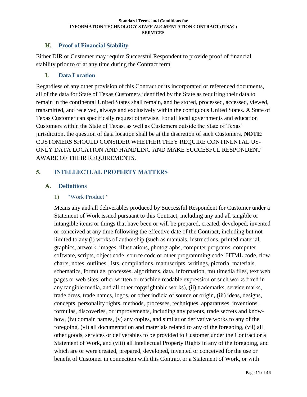# <span id="page-10-0"></span>**H. Proof of Financial Stability**

Either DIR or Customer may require Successful Respondent to provide proof of financial stability prior to or at any time during the Contract term.

## <span id="page-10-1"></span>**I. Data Location**

Regardless of any other provision of this Contract or its incorporated or referenced documents, all of the data for State of Texas Customers identified by the State as requiring their data to remain in the continental United States shall remain, and be stored, processed, accessed, viewed, transmitted, and received, always and exclusively within the contiguous United States. A State of Texas Customer can specifically request otherwise. For all local governments and education Customers within the State of Texas, as well as Customers outside the State of Texas' jurisdiction, the question of data location shall be at the discretion of such Customers. **NOTE**: CUSTOMERS SHOULD CONSIDER WHETHER THEY REQUIRE CONTINENTAL US-ONLY DATA LOCATION AND HANDLING AND MAKE SUCCESFUL RESPONDENT AWARE OF THEIR REQUIREMENTS.

## <span id="page-10-2"></span>**5. INTELLECTUAL PROPERTY MATTERS**

## <span id="page-10-4"></span><span id="page-10-3"></span>**A. Definitions**

## 1) "Work Product"

Means any and all deliverables produced by Successful Respondent for Customer under a Statement of Work issued pursuant to this Contract, including any and all tangible or intangible items or things that have been or will be prepared, created, developed, invented or conceived at any time following the effective date of the Contract, including but not limited to any (i) works of authorship (such as manuals, instructions, printed material, graphics, artwork, images, illustrations, photographs, computer programs, computer software, scripts, object code, source code or other programming code, HTML code, flow charts, notes, outlines, lists, compilations, manuscripts, writings, pictorial materials, schematics, formulae, processes, algorithms, data, information, multimedia files, text web pages or web sites, other written or machine readable expression of such works fixed in any tangible media, and all other copyrightable works), (ii) trademarks, service marks, trade dress, trade names, logos, or other indicia of source or origin, (iii) ideas, designs, concepts, personality rights, methods, processes, techniques, apparatuses, inventions, formulas, discoveries, or improvements, including any patents, trade secrets and knowhow, (iv) domain names, (v) any copies, and similar or derivative works to any of the foregoing, (vi) all documentation and materials related to any of the foregoing, (vii) all other goods, services or deliverables to be provided to Customer under the Contract or a Statement of Work, and (viii) all Intellectual Property Rights in any of the foregoing, and which are or were created, prepared, developed, invented or conceived for the use or benefit of Customer in connection with this Contract or a Statement of Work, or with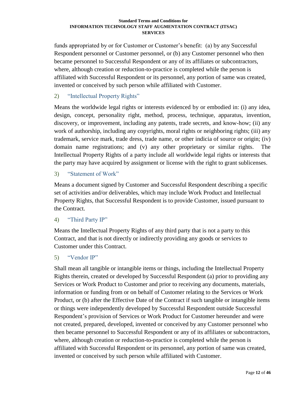funds appropriated by or for Customer or Customer's benefit: (a) by any Successful Respondent personnel or Customer personnel, or (b) any Customer personnel who then became personnel to Successful Respondent or any of its affiliates or subcontractors, where, although creation or reduction-to-practice is completed while the person is affiliated with Successful Respondent or its personnel, any portion of same was created, invented or conceived by such person while affiliated with Customer.

# <span id="page-11-0"></span>2) "Intellectual Property Rights"

Means the worldwide legal rights or interests evidenced by or embodied in: (i) any idea, design, concept, personality right, method, process, technique, apparatus, invention, discovery, or improvement, including any patents, trade secrets, and know-how; (ii) any work of authorship, including any copyrights, moral rights or neighboring rights; (iii) any trademark, service mark, trade dress, trade name, or other indicia of source or origin; (iv) domain name registrations; and (v) any other proprietary or similar rights. The Intellectual Property Rights of a party include all worldwide legal rights or interests that the party may have acquired by assignment or license with the right to grant sublicenses.

## <span id="page-11-1"></span>3) "Statement of Work"

Means a document signed by Customer and Successful Respondent describing a specific set of activities and/or deliverables, which may include Work Product and Intellectual Property Rights, that Successful Respondent is to provide Customer, issued pursuant to the Contract.

# <span id="page-11-2"></span>4) "Third Party IP"

Means the Intellectual Property Rights of any third party that is not a party to this Contract, and that is not directly or indirectly providing any goods or services to Customer under this Contract.

# <span id="page-11-3"></span>5) "Vendor IP"

Shall mean all tangible or intangible items or things, including the Intellectual Property Rights therein, created or developed by Successful Respondent (a) prior to providing any Services or Work Product to Customer and prior to receiving any documents, materials, information or funding from or on behalf of Customer relating to the Services or Work Product, or (b) after the Effective Date of the Contract if such tangible or intangible items or things were independently developed by Successful Respondent outside Successful Respondent's provision of Services or Work Product for Customer hereunder and were not created, prepared, developed, invented or conceived by any Customer personnel who then became personnel to Successful Respondent or any of its affiliates or subcontractors, where, although creation or reduction-to-practice is completed while the person is affiliated with Successful Respondent or its personnel, any portion of same was created, invented or conceived by such person while affiliated with Customer.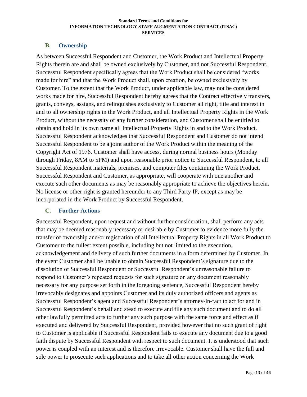## <span id="page-12-0"></span>**B. Ownership**

As between Successful Respondent and Customer, the Work Product and Intellectual Property Rights therein are and shall be owned exclusively by Customer, and not Successful Respondent. Successful Respondent specifically agrees that the Work Product shall be considered "works made for hire" and that the Work Product shall, upon creation, be owned exclusively by Customer. To the extent that the Work Product, under applicable law, may not be considered works made for hire, Successful Respondent hereby agrees that the Contract effectively transfers, grants, conveys, assigns, and relinquishes exclusively to Customer all right, title and interest in and to all ownership rights in the Work Product, and all Intellectual Property Rights in the Work Product, without the necessity of any further consideration, and Customer shall be entitled to obtain and hold in its own name all Intellectual Property Rights in and to the Work Product. Successful Respondent acknowledges that Successful Respondent and Customer do not intend Successful Respondent to be a joint author of the Work Product within the meaning of the Copyright Act of 1976. Customer shall have access, during normal business hours (Monday through Friday, 8AM to 5PM) and upon reasonable prior notice to Successful Respondent, to all Successful Respondent materials, premises, and computer files containing the Work Product. Successful Respondent and Customer, as appropriate, will cooperate with one another and execute such other documents as may be reasonably appropriate to achieve the objectives herein. No license or other right is granted hereunder to any Third Party IP, except as may be incorporated in the Work Product by Successful Respondent.

## <span id="page-12-1"></span>**C. Further Actions**

Successful Respondent, upon request and without further consideration, shall perform any acts that may be deemed reasonably necessary or desirable by Customer to evidence more fully the transfer of ownership and/or registration of all Intellectual Property Rights in all Work Product to Customer to the fullest extent possible, including but not limited to the execution, acknowledgement and delivery of such further documents in a form determined by Customer. In the event Customer shall be unable to obtain Successful Respondent's signature due to the dissolution of Successful Respondent or Successful Respondent's unreasonable failure to respond to Customer's repeated requests for such signature on any document reasonably necessary for any purpose set forth in the foregoing sentence, Successful Respondent hereby irrevocably designates and appoints Customer and its duly authorized officers and agents as Successful Respondent's agent and Successful Respondent's attorney-in-fact to act for and in Successful Respondent's behalf and stead to execute and file any such document and to do all other lawfully permitted acts to further any such purpose with the same force and effect as if executed and delivered by Successful Respondent, provided however that no such grant of right to Customer is applicable if Successful Respondent fails to execute any document due to a good faith dispute by Successful Respondent with respect to such document. It is understood that such power is coupled with an interest and is therefore irrevocable. Customer shall have the full and sole power to prosecute such applications and to take all other action concerning the Work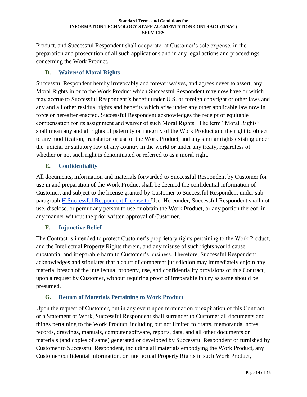Product, and Successful Respondent shall cooperate, at Customer's sole expense, in the preparation and prosecution of all such applications and in any legal actions and proceedings concerning the Work Product.

# <span id="page-13-0"></span>**D. Waiver of Moral Rights**

Successful Respondent hereby irrevocably and forever waives, and agrees never to assert, any Moral Rights in or to the Work Product which Successful Respondent may now have or which may accrue to Successful Respondent's benefit under U.S. or foreign copyright or other laws and any and all other residual rights and benefits which arise under any other applicable law now in force or hereafter enacted. Successful Respondent acknowledges the receipt of equitable compensation for its assignment and waiver of such Moral Rights. The term "Moral Rights" shall mean any and all rights of paternity or integrity of the Work Product and the right to object to any modification, translation or use of the Work Product, and any similar rights existing under the judicial or statutory law of any country in the world or under any treaty, regardless of whether or not such right is denominated or referred to as a moral right.

# <span id="page-13-1"></span>**E. Confidentiality**

All documents, information and materials forwarded to Successful Respondent by Customer for use in and preparation of the Work Product shall be deemed the confidential information of Customer, and subject to the license granted by Customer to Successful Respondent under subparagraph [H](#page-14-0) [Successful Respondent](#page-14-0) License to Use. Hereunder, Successful Respondent shall not use, disclose, or permit any person to use or obtain the Work Product, or any portion thereof, in any manner without the prior written approval of Customer.

# <span id="page-13-2"></span>**F. Injunctive Relief**

The Contract is intended to protect Customer's proprietary rights pertaining to the Work Product, and the Intellectual Property Rights therein, and any misuse of such rights would cause substantial and irreparable harm to Customer's business. Therefore, Successful Respondent acknowledges and stipulates that a court of competent jurisdiction may immediately enjoin any material breach of the intellectual property, use, and confidentiality provisions of this Contract, upon a request by Customer, without requiring proof of irreparable injury as same should be presumed.

# <span id="page-13-3"></span>**G. Return of Materials Pertaining to Work Product**

Upon the request of Customer, but in any event upon termination or expiration of this Contract or a Statement of Work, Successful Respondent shall surrender to Customer all documents and things pertaining to the Work Product, including but not limited to drafts, memoranda, notes, records, drawings, manuals, computer software, reports, data, and all other documents or materials (and copies of same) generated or developed by Successful Respondent or furnished by Customer to Successful Respondent, including all materials embodying the Work Product, any Customer confidential information, or Intellectual Property Rights in such Work Product,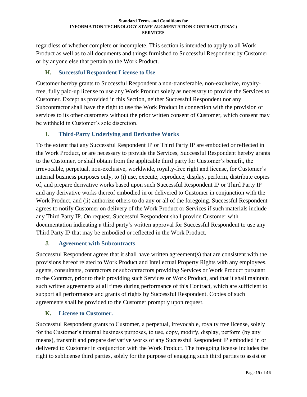regardless of whether complete or incomplete. This section is intended to apply to all Work Product as well as to all documents and things furnished to Successful Respondent by Customer or by anyone else that pertain to the Work Product.

# <span id="page-14-0"></span>**H. Successful Respondent License to Use**

Customer hereby grants to Successful Respondent a non-transferable, non-exclusive, royaltyfree, fully paid-up license to use any Work Product solely as necessary to provide the Services to Customer. Except as provided in this Section, neither Successful Respondent nor any Subcontractor shall have the right to use the Work Product in connection with the provision of services to its other customers without the prior written consent of Customer, which consent may be withheld in Customer's sole discretion.

# <span id="page-14-1"></span>**I. Third-Party Underlying and Derivative Works**

To the extent that any Successful Respondent IP or Third Party IP are embodied or reflected in the Work Product, or are necessary to provide the Services, Successful Respondent hereby grants to the Customer, or shall obtain from the applicable third party for Customer's benefit, the irrevocable, perpetual, non-exclusive, worldwide, royalty-free right and license, for Customer's internal business purposes only, to (i) use, execute, reproduce, display, perform, distribute copies of, and prepare derivative works based upon such Successful Respondent IP or Third Party IP and any derivative works thereof embodied in or delivered to Customer in conjunction with the Work Product, and (ii) authorize others to do any or all of the foregoing. Successful Respondent agrees to notify Customer on delivery of the Work Product or Services if such materials include any Third Party IP. On request, Successful Respondent shall provide Customer with documentation indicating a third party's written approval for Successful Respondent to use any Third Party IP that may be embodied or reflected in the Work Product.

# <span id="page-14-2"></span>**J. Agreement with Subcontracts**

Successful Respondent agrees that it shall have written agreement(s) that are consistent with the provisions hereof related to Work Product and Intellectual Property Rights with any employees, agents, consultants, contractors or subcontractors providing Services or Work Product pursuant to the Contract, prior to their providing such Services or Work Product, and that it shall maintain such written agreements at all times during performance of this Contract, which are sufficient to support all performance and grants of rights by Successful Respondent. Copies of such agreements shall be provided to the Customer promptly upon request.

# <span id="page-14-3"></span>**K. License to Customer.**

Successful Respondent grants to Customer, a perpetual, irrevocable, royalty free license, solely for the Customer's internal business purposes, to use, copy, modify, display, perform (by any means), transmit and prepare derivative works of any Successful Respondent IP embodied in or delivered to Customer in conjunction with the Work Product. The foregoing license includes the right to sublicense third parties, solely for the purpose of engaging such third parties to assist or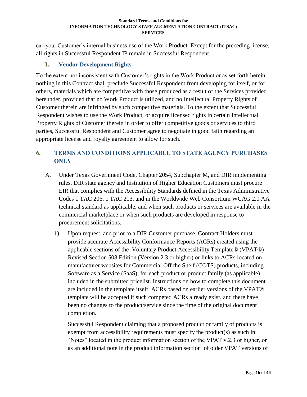carryout Customer's internal business use of the Work Product. Except for the preceding license, all rights in Successful Respondent IP remain in Successful Respondent.

# <span id="page-15-0"></span>**L. Vendor Development Rights**

To the extent not inconsistent with Customer's rights in the Work Product or as set forth herein, nothing in this Contract shall preclude Successful Respondent from developing for itself, or for others, materials which are competitive with those produced as a result of the Services provided hereunder, provided that no Work Product is utilized, and no Intellectual Property Rights of Customer therein are infringed by such competitive materials. To the extent that Successful Respondent wishes to use the Work Product, or acquire licensed rights in certain Intellectual Property Rights of Customer therein in order to offer competitive goods or services to third parties, Successful Respondent and Customer agree to negotiate in good faith regarding an appropriate license and royalty agreement to allow for such.

# <span id="page-15-1"></span>**6. TERMS AND CONDITIONS APPLICABLE TO STATE AGENCY PURCHASES ONLY**

- A. Under Texas Government Code, Chapter 2054, Subchapter M, and DIR implementing rules, DIR state agency and Institution of Higher Education Customers must procure EIR that complies with the Accessibility Standards defined in the Texas Administrative Codes 1 TAC 206, 1 TAC 213, and in the Worldwide Web Consortium WCAG 2.0 AA technical standard as applicable, and when such products or services are available in the commercial marketplace or when such products are developed in response to procurement solicitations.
	- 1) Upon request, and prior to a DIR Customer purchase, Contract Holders must provide accurate Accessibility Conformance Reports (ACRs) created using the applicable sections of the Voluntary Product Accessibility Template® (VPAT®) Revised Section 508 Edition (Version 2.3 or higher) or links to ACRs located on manufacturer websites for Commercial Off the Shelf (COTS) products, including Software as a Service (SaaS), for each product or product family (as applicable) included in the submitted pricelist. Instructions on how to complete this document are included in the template itself. ACRs based on earlier versions of the VPAT® template will be accepted if such competed ACRs already exist, and there have been no changes to the product/service since the time of the original document completion.

Successful Respondent claiming that a proposed product or family of products is exempt from accessibility requirements must specify the product(s) as such in "Notes" located in the product information section of the VPAT v.2.3 or higher, or as an additional note in the product information section of older VPAT versions of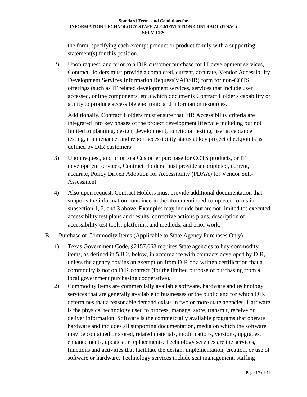the form, specifying each exempt product or product family with a supporting statement(s) for this position.

2) Upon request, and prior to a DIR customer purchase for IT development services, Contract Holders must provide a completed, current, accurate, Vendor Accessibility Development Services Information Request(VADSIR) form for non-COTS offerings (such as IT related development services, services that include user accessed, online components, etc.) which documents Contract Holder's capability or ability to produce accessible electronic and information resources.

Additionally, Contract Holders must ensure that EIR Accessibility criteria are integrated into key phases of the project development lifecycle including but not limited to planning, design, development, functional testing, user acceptance testing, maintenance; and report accessibility status at key project checkpoints as defined by DIR customers.

- 3) Upon request, and prior to a Customer purchase for COTS products, or IT development services, Contract Holders must provide a completed, current, accurate, Policy Driven Adoption for Accessibility (PDAA) for Vendor Self-Assessment.
- 4) Also upon request, Contract Holders must provide additional documentation that supports the information contained in the aforementioned completed forms in subsection 1, 2, and 3 above. Examples may include but are not limited to: executed accessibility test plans and results, corrective actions plans, description of accessibility test tools, platforms, and methods, and prior work.
- B. Purchase of Commodity Items (Applicable to State Agency Purchases Only)
	- 1) Texas Government Code, §2157.068 requires State agencies to buy commodity items, as defined in 5.B.2, below, in accordance with contracts developed by DIR, unless the agency obtains an exemption from DIR or a written certification that a commodity is not on DIR contract (for the limited purpose of purchasing from a local government purchasing cooperative).
	- 2) Commodity items are commercially available software, hardware and technology services that are generally available to businesses or the public and for which DIR determines that a reasonable demand exists in two or more state agencies. Hardware is the physical technology used to process, manage, store, transmit, receive or deliver information. Software is the commercially available programs that operate hardware and includes all supporting documentation, media on which the software may be contained or stored, related materials, modifications, versions, upgrades, enhancements, updates or replacements. Technology services are the services, functions and activities that facilitate the design, implementation, creation, or use of software or hardware. Technology services include seat management, staffing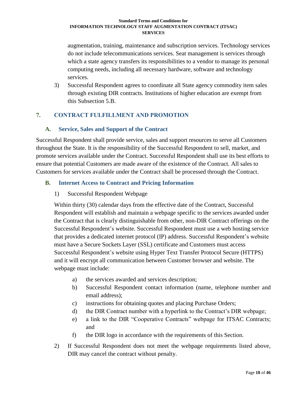augmentation, training, maintenance and subscription services. Technology services do not include telecommunications services. Seat management is services through which a state agency transfers its responsibilities to a vendor to manage its personal computing needs, including all necessary hardware, software and technology services.

3) Successful Respondent agrees to coordinate all State agency commodity item sales through existing DIR contracts. Institutions of higher education are exempt from this Subsection 5.B.

# <span id="page-17-0"></span>**7. CONTRACT FULFILLMENT AND PROMOTION**

## <span id="page-17-1"></span>**A. Service, Sales and Support of the Contract**

Successful Respondent shall provide service, sales and support resources to serve all Customers throughout the State. It is the responsibility of the Successful Respondent to sell, market, and promote services available under the Contract. Successful Respondent shall use its best efforts to ensure that potential Customers are made aware of the existence of the Contract. All sales to Customers for services available under the Contract shall be processed through the Contract.

## <span id="page-17-2"></span>**B. Internet Access to Contract and Pricing Information**

1) Successful Respondent Webpage

Within thirty (30) calendar days from the effective date of the Contract, Successful Respondent will establish and maintain a webpage specific to the services awarded under the Contract that is clearly distinguishable from other, non-DIR Contract offerings on the Successful Respondent's website. Successful Respondent must use a web hosting service that provides a dedicated internet protocol (IP) address. Successful Respondent's website must have a Secure Sockets Layer (SSL) certificate and Customers must access Successful Respondent's website using Hyper Text Transfer Protocol Secure (HTTPS) and it will encrypt all communication between Customer browser and website. The webpage must include:

- a) the services awarded and services description;
- b) Successful Respondent contact information (name, telephone number and email address);
- c) instructions for obtaining quotes and placing Purchase Orders;
- d) the DIR Contract number with a hyperlink to the Contract's DIR webpage;
- e) a link to the DIR "Cooperative Contracts" webpage for ITSAC Contracts; and
- f) the DIR logo in accordance with the requirements of this Section.
- 2) If Successful Respondent does not meet the webpage requirements listed above, DIR may cancel the contract without penalty.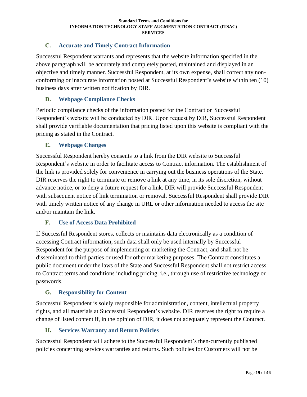# <span id="page-18-0"></span>**C. Accurate and Timely Contract Information**

Successful Respondent warrants and represents that the website information specified in the above paragraph will be accurately and completely posted, maintained and displayed in an objective and timely manner. Successful Respondent, at its own expense, shall correct any nonconforming or inaccurate information posted at Successful Respondent's website within ten (10) business days after written notification by DIR.

## <span id="page-18-1"></span>**D. Webpage Compliance Checks**

Periodic compliance checks of the information posted for the Contract on Successful Respondent's website will be conducted by DIR. Upon request by DIR, Successful Respondent shall provide verifiable documentation that pricing listed upon this website is compliant with the pricing as stated in the Contract.

## <span id="page-18-2"></span>**E. Webpage Changes**

Successful Respondent hereby consents to a link from the DIR website to Successful Respondent's website in order to facilitate access to Contract information. The establishment of the link is provided solely for convenience in carrying out the business operations of the State. DIR reserves the right to terminate or remove a link at any time, in its sole discretion, without advance notice, or to deny a future request for a link. DIR will provide Successful Respondent with subsequent notice of link termination or removal. Successful Respondent shall provide DIR with timely written notice of any change in URL or other information needed to access the site and/or maintain the link.

## <span id="page-18-3"></span>**F. Use of Access Data Prohibited**

If Successful Respondent stores, collects or maintains data electronically as a condition of accessing Contract information, such data shall only be used internally by Successful Respondent for the purpose of implementing or marketing the Contract, and shall not be disseminated to third parties or used for other marketing purposes. The Contract constitutes a public document under the laws of the State and Successful Respondent shall not restrict access to Contract terms and conditions including pricing, i.e., through use of restrictive technology or passwords.

## <span id="page-18-4"></span>**G. Responsibility for Content**

Successful Respondent is solely responsible for administration, content, intellectual property rights, and all materials at Successful Respondent's website. DIR reserves the right to require a change of listed content if, in the opinion of DIR, it does not adequately represent the Contract.

## <span id="page-18-5"></span>**H. Services Warranty and Return Policies**

Successful Respondent will adhere to the Successful Respondent's then-currently published policies concerning services warranties and returns. Such policies for Customers will not be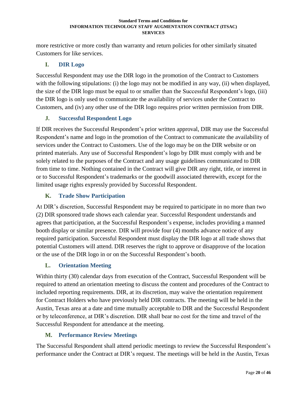more restrictive or more costly than warranty and return policies for other similarly situated Customers for like services.

# <span id="page-19-0"></span>**I. DIR Logo**

Successful Respondent may use the DIR logo in the promotion of the Contract to Customers with the following stipulations: (i) the logo may not be modified in any way, (ii) when displayed, the size of the DIR logo must be equal to or smaller than the Successful Respondent's logo, (iii) the DIR logo is only used to communicate the availability of services under the Contract to Customers, and (iv) any other use of the DIR logo requires prior written permission from DIR.

# <span id="page-19-1"></span>**J. Successful Respondent Logo**

If DIR receives the Successful Respondent's prior written approval, DIR may use the Successful Respondent's name and logo in the promotion of the Contract to communicate the availability of services under the Contract to Customers. Use of the logo may be on the DIR website or on printed materials. Any use of Successful Respondent's logo by DIR must comply with and be solely related to the purposes of the Contract and any usage guidelines communicated to DIR from time to time. Nothing contained in the Contract will give DIR any right, title, or interest in or to Successful Respondent's trademarks or the goodwill associated therewith, except for the limited usage rights expressly provided by Successful Respondent.

# <span id="page-19-2"></span>**K. Trade Show Participation**

At DIR's discretion, Successful Respondent may be required to participate in no more than two (2) DIR sponsored trade shows each calendar year. Successful Respondent understands and agrees that participation, at the Successful Respondent's expense, includes providing a manned booth display or similar presence. DIR will provide four (4) months advance notice of any required participation. Successful Respondent must display the DIR logo at all trade shows that potential Customers will attend. DIR reserves the right to approve or disapprove of the location or the use of the DIR logo in or on the Successful Respondent's booth.

# <span id="page-19-3"></span>**L. Orientation Meeting**

Within thirty (30) calendar days from execution of the Contract, Successful Respondent will be required to attend an orientation meeting to discuss the content and procedures of the Contract to included reporting requirements. DIR, at its discretion, may waive the orientation requirement for Contract Holders who have previously held DIR contracts. The meeting will be held in the Austin, Texas area at a date and time mutually acceptable to DIR and the Successful Respondent or by teleconference, at DIR's discretion. DIR shall bear no cost for the time and travel of the Successful Respondent for attendance at the meeting.

# <span id="page-19-4"></span>**M. Performance Review Meetings**

The Successful Respondent shall attend periodic meetings to review the Successful Respondent's performance under the Contract at DIR's request. The meetings will be held in the Austin, Texas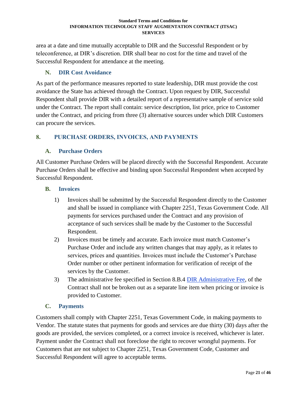area at a date and time mutually acceptable to DIR and the Successful Respondent or by teleconference, at DIR's discretion. DIR shall bear no cost for the time and travel of the Successful Respondent for attendance at the meeting.

# <span id="page-20-0"></span>**N. DIR Cost Avoidance**

As part of the performance measures reported to state leadership, DIR must provide the cost avoidance the State has achieved through the Contract. Upon request by DIR, Successful Respondent shall provide DIR with a detailed report of a representative sample of service sold under the Contract. The report shall contain: service description, list price, price to Customer under the Contract, and pricing from three (3) alternative sources under which DIR Customers can procure the services.

## <span id="page-20-1"></span>**8. PURCHASE ORDERS, INVOICES, AND PAYMENTS**

## <span id="page-20-2"></span>**A. Purchase Orders**

All Customer Purchase Orders will be placed directly with the Successful Respondent. Accurate Purchase Orders shall be effective and binding upon Successful Respondent when accepted by Successful Respondent.

## <span id="page-20-3"></span>**B. Invoices**

- 1) Invoices shall be submitted by the Successful Respondent directly to the Customer and shall be issued in compliance with Chapter 2251, Texas Government Code. All payments for services purchased under the Contract and any provision of acceptance of such services shall be made by the Customer to the Successful Respondent.
- 2) Invoices must be timely and accurate. Each invoice must match Customer's Purchase Order and include any written changes that may apply, as it relates to services, prices and quantities. Invoices must include the Customer's Purchase Order number or other pertinent information for verification of receipt of the services by the Customer.
- 3) The administrative fee specified in Section 8.B.4 DIR [Administrative Fee,](#page-23-1) of the Contract shall not be broken out as a separate line item when pricing or invoice is provided to Customer.

## <span id="page-20-4"></span>**C. Payments**

Customers shall comply with Chapter 2251, Texas Government Code, in making payments to Vendor. The statute states that payments for goods and services are due thirty (30) days after the goods are provided, the services completed, or a correct invoice is received, whichever is later. Payment under the Contract shall not foreclose the right to recover wrongful payments. For Customers that are not subject to Chapter 2251, Texas Government Code, Customer and Successful Respondent will agree to acceptable terms.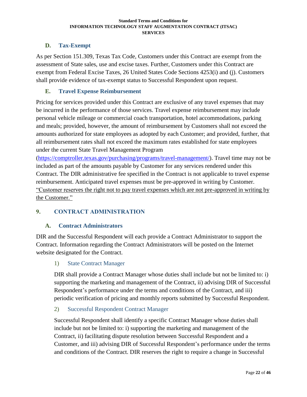# <span id="page-21-0"></span>**D. Tax-Exempt**

As per Section 151.309, Texas Tax Code, Customers under this Contract are exempt from the assessment of State sales, use and excise taxes. Further, Customers under this Contract are exempt from Federal Excise Taxes, 26 United States Code Sections 4253(i) and (j). Customers shall provide evidence of tax-exempt status to Successful Respondent upon request.

## <span id="page-21-1"></span>**E. Travel Expense Reimbursement**

Pricing for services provided under this Contract are exclusive of any travel expenses that may be incurred in the performance of those services. Travel expense reimbursement may include personal vehicle mileage or commercial coach transportation, hotel accommodations, parking and meals; provided, however, the amount of reimbursement by Customers shall not exceed the amounts authorized for state employees as adopted by each Customer; and provided, further, that all reimbursement rates shall not exceed the maximum rates established for state employees under the current State Travel Management Program

[\(https://comptroller.texas.gov/purchasing/programs/travel-management/\)](https://comptroller.texas.gov/purchasing/programs/travel-management/). Travel time may not be included as part of the amounts payable by Customer for any services rendered under this Contract. The DIR administrative fee specified in the Contract is not applicable to travel expense reimbursement. Anticipated travel expenses must be pre-approved in writing by Customer. "Customer reserves the right not to pay travel expenses which are not pre-approved in writing by the Customer."

# <span id="page-21-2"></span>**9. CONTRACT ADMINISTRATION**

## <span id="page-21-3"></span>**A. Contract Administrators**

DIR and the Successful Respondent will each provide a Contract Administrator to support the Contract. Information regarding the Contract Administrators will be posted on the Internet website designated for the Contract.

## <span id="page-21-4"></span>1) State Contract Manager

DIR shall provide a Contract Manager whose duties shall include but not be limited to: i) supporting the marketing and management of the Contract, ii) advising DIR of Successful Respondent's performance under the terms and conditions of the Contract, and iii) periodic verification of pricing and monthly reports submitted by Successful Respondent.

#### <span id="page-21-5"></span>2) Successful Respondent Contract Manager

Successful Respondent shall identify a specific Contract Manager whose duties shall include but not be limited to: i) supporting the marketing and management of the Contract, ii) facilitating dispute resolution between Successful Respondent and a Customer, and iii) advising DIR of Successful Respondent's performance under the terms and conditions of the Contract. DIR reserves the right to require a change in Successful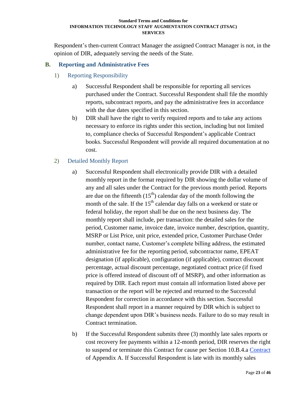Respondent's then-current Contract Manager the assigned Contract Manager is not, in the opinion of DIR, adequately serving the needs of the State.

# <span id="page-22-1"></span><span id="page-22-0"></span>**B. Reporting and Administrative Fees**

- 1) Reporting Responsibility
	- a) Successful Respondent shall be responsible for reporting all services purchased under the Contract. Successful Respondent shall file the monthly reports, subcontract reports, and pay the administrative fees in accordance with the due dates specified in this section.
	- b) DIR shall have the right to verify required reports and to take any actions necessary to enforce its rights under this section, including but not limited to, compliance checks of Successful Respondent's applicable Contract books. Successful Respondent will provide all required documentation at no cost.

## <span id="page-22-2"></span>2) Detailed Monthly Report

- a) Successful Respondent shall electronically provide DIR with a detailed monthly report in the format required by DIR showing the dollar volume of any and all sales under the Contract for the previous month period. Reports are due on the fifteenth  $(15<sup>th</sup>)$  calendar day of the month following the month of the sale. If the  $15<sup>th</sup>$  calendar day falls on a weekend or state or federal holiday, the report shall be due on the next business day. The monthly report shall include, per transaction: the detailed sales for the period, Customer name, invoice date, invoice number, description, quantity, MSRP or List Price, unit price, extended price, Customer Purchase Order number, contact name, Customer's complete billing address, the estimated administrative fee for the reporting period, subcontractor name, EPEAT designation (if applicable), configuration (if applicable), contract discount percentage, actual discount percentage, negotiated contract price (if fixed price is offered instead of discount off of MSRP), and other information as required by DIR. Each report must contain all information listed above per transaction or the report will be rejected and returned to the Successful Respondent for correction in accordance with this section. Successful Respondent shall report in a manner required by DIR which is subject to change dependent upon DIR's business needs. Failure to do so may result in Contract termination.
- b) If the Successful Respondent submits three (3) monthly late sales reports or cost recovery fee payments within a 12-month period, DIR reserves the right to suspend or terminate this Contract for cause per Section 10.B.4.a [Contract](#page-38-3) of Appendix A. If Successful Respondent is late with its monthly sales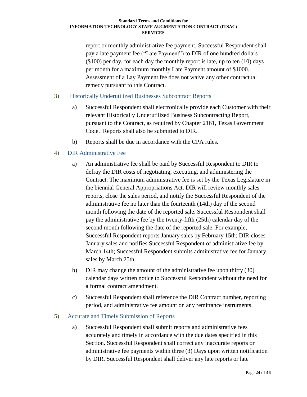report or monthly administrative fee payment, Successful Respondent shall pay a late payment fee ("Late Payment") to DIR of one hundred dollars (\$100) per day, for each day the monthly report is late, up to ten (10) days per month for a maximum monthly Late Payment amount of \$1000. Assessment of a Lay Payment fee does not waive any other contractual remedy pursuant to this Contract.

## <span id="page-23-0"></span>3) Historically Underutilized Businesses Subcontract Reports

- a) Successful Respondent shall electronically provide each Customer with their relevant Historically Underutilized Business Subcontracting Report, pursuant to the Contract, as required by Chapter 2161, Texas Government Code. Reports shall also be submitted to DIR.
- b) Reports shall be due in accordance with the CPA rules.

# <span id="page-23-1"></span>4) DIR Administrative Fee

- a) An administrative fee shall be paid by Successful Respondent to DIR to defray the DIR costs of negotiating, executing, and administering the Contract. The maximum administrative fee is set by the Texas Legislature in the biennial General Appropriations Act. DIR will review monthly sales reports, close the sales period, and notify the Successful Respondent of the administrative fee no later than the fourteenth (14th) day of the second month following the date of the reported sale. Successful Respondent shall pay the administrative fee by the twenty-fifth (25th) calendar day of the second month following the date of the reported sale. For example, Successful Respondent reports January sales by February 15th; DIR closes January sales and notifies Successful Respondent of administrative fee by March 14th; Successful Respondent submits administrative fee for January sales by March 25th.
- b) DIR may change the amount of the administrative fee upon thirty (30) calendar days written notice to Successful Respondent without the need for a formal contract amendment.
- c) Successful Respondent shall reference the DIR Contract number, reporting period, and administrative fee amount on any remittance instruments.

## <span id="page-23-2"></span>5) Accurate and Timely Submission of Reports

a) Successful Respondent shall submit reports and administrative fees accurately and timely in accordance with the due dates specified in this Section. Successful Respondent shall correct any inaccurate reports or administrative fee payments within three (3) Days upon written notification by DIR. Successful Respondent shall deliver any late reports or late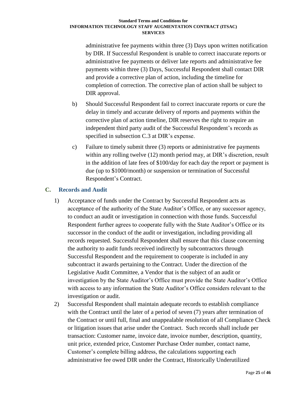administrative fee payments within three (3) Days upon written notification by DIR. If Successful Respondent is unable to correct inaccurate reports or administrative fee payments or deliver late reports and administrative fee payments within three (3) Days, Successful Respondent shall contact DIR and provide a corrective plan of action, including the timeline for completion of correction. The corrective plan of action shall be subject to DIR approval.

- b) Should Successful Respondent fail to correct inaccurate reports or cure the delay in timely and accurate delivery of reports and payments within the corrective plan of action timeline, DIR reserves the right to require an independent third party audit of the Successful Respondent's records as specified in subsection C.3 at DIR's expense.
- c) Failure to timely submit three (3) reports or administrative fee payments within any rolling twelve (12) month period may, at DIR's discretion, result in the addition of late fees of \$100/day for each day the report or payment is due (up to \$1000/month) or suspension or termination of Successful Respondent's Contract.

# <span id="page-24-0"></span>**C. Records and Audit**

- 1) Acceptance of funds under the Contract by Successful Respondent acts as acceptance of the authority of the State Auditor's Office, or any successor agency, to conduct an audit or investigation in connection with those funds. Successful Respondent further agrees to cooperate fully with the State Auditor's Office or its successor in the conduct of the audit or investigation, including providing all records requested. Successful Respondent shall ensure that this clause concerning the authority to audit funds received indirectly by subcontractors through Successful Respondent and the requirement to cooperate is included in any subcontract it awards pertaining to the Contract. Under the direction of the Legislative Audit Committee, a Vendor that is the subject of an audit or investigation by the State Auditor's Office must provide the State Auditor's Office with access to any information the State Auditor's Office considers relevant to the investigation or audit.
- 2) Successful Respondent shall maintain adequate records to establish compliance with the Contract until the later of a period of seven (7) years after termination of the Contract or until full, final and unappealable resolution of all Compliance Check or litigation issues that arise under the Contract. Such records shall include per transaction: Customer name, invoice date, invoice number, description, quantity, unit price, extended price, Customer Purchase Order number, contact name, Customer's complete billing address, the calculations supporting each administrative fee owed DIR under the Contract, Historically Underutilized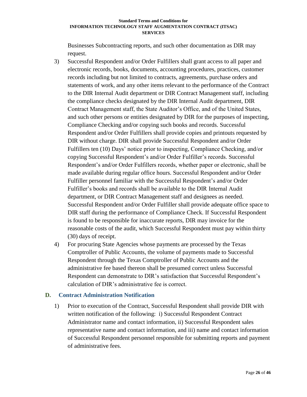Businesses Subcontracting reports, and such other documentation as DIR may request.

- 3) Successful Respondent and/or Order Fulfillers shall grant access to all paper and electronic records, books, documents, accounting procedures, practices, customer records including but not limited to contracts, agreements, purchase orders and statements of work, and any other items relevant to the performance of the Contract to the DIR Internal Audit department or DIR Contract Management staff, including the compliance checks designated by the DIR Internal Audit department, DIR Contract Management staff, the State Auditor's Office, and of the United States, and such other persons or entities designated by DIR for the purposes of inspecting, Compliance Checking and/or copying such books and records. Successful Respondent and/or Order Fulfillers shall provide copies and printouts requested by DIR without charge. DIR shall provide Successful Respondent and/or Order Fulfillers ten (10) Days' notice prior to inspecting, Compliance Checking, and/or copying Successful Respondent's and/or Order Fulfiller's records. Successful Respondent's and/or Order Fulfillers records, whether paper or electronic, shall be made available during regular office hours. Successful Respondent and/or Order Fulfiller personnel familiar with the Successful Respondent's and/or Order Fulfiller's books and records shall be available to the DIR Internal Audit department, or DIR Contract Management staff and designees as needed. Successful Respondent and/or Order Fulfiller shall provide adequate office space to DIR staff during the performance of Compliance Check. If Successful Respondent is found to be responsible for inaccurate reports, DIR may invoice for the reasonable costs of the audit, which Successful Respondent must pay within thirty (30) days of receipt.
- 4) For procuring State Agencies whose payments are processed by the Texas Comptroller of Public Accounts, the volume of payments made to Successful Respondent through the Texas Comptroller of Public Accounts and the administrative fee based thereon shall be presumed correct unless Successful Respondent can demonstrate to DIR's satisfaction that Successful Respondent's calculation of DIR's administrative fee is correct.

# <span id="page-25-0"></span>**D. Contract Administration Notification**

1) Prior to execution of the Contract, Successful Respondent shall provide DIR with written notification of the following: i) Successful Respondent Contract Administrator name and contact information, ii) Successful Respondent sales representative name and contact information, and iii) name and contact information of Successful Respondent personnel responsible for submitting reports and payment of administrative fees.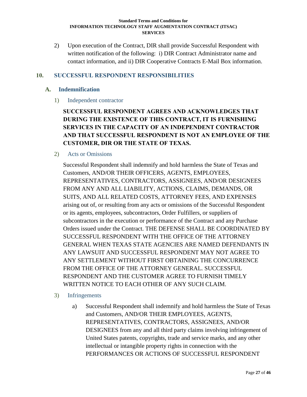2) Upon execution of the Contract, DIR shall provide Successful Respondent with written notification of the following: i) DIR Contract Administrator name and contact information, and ii) DIR Cooperative Contracts E-Mail Box information.

## <span id="page-26-0"></span>**10. SUCCESSFUL RESPONDENT RESPONSIBILITIES**

## <span id="page-26-2"></span><span id="page-26-1"></span>**A. Indemnification**

1) Independent contractor

**SUCCESSFUL RESPONDENT AGREES AND ACKNOWLEDGES THAT DURING THE EXISTENCE OF THIS CONTRACT, IT IS FURNISHING SERVICES IN THE CAPACITY OF AN INDEPENDENT CONTRACTOR AND THAT SUCCESSFUL RESPONDENT IS NOT AN EMPLOYEE OF THE CUSTOMER, DIR OR THE STATE OF TEXAS.** 

#### <span id="page-26-3"></span>2) Acts or Omissions

Successful Respondent shall indemnify and hold harmless the State of Texas and Customers, AND/OR THEIR OFFICERS, AGENTS, EMPLOYEES, REPRESENTATIVES, CONTRACTORS, ASSIGNEES, AND/OR DESIGNEES FROM ANY AND ALL LIABILITY, ACTIONS, CLAIMS, DEMANDS, OR SUITS, AND ALL RELATED COSTS, ATTORNEY FEES, AND EXPENSES arising out of, or resulting from any acts or omissions of the Successful Respondent or its agents, employees, subcontractors, Order Fulfillers, or suppliers of subcontractors in the execution or performance of the Contract and any Purchase Orders issued under the Contract. THE DEFENSE SHALL BE COORDINATED BY SUCCESSFUL RESPONDENT WITH THE OFFICE OF THE ATTORNEY GENERAL WHEN TEXAS STATE AGENCIES ARE NAMED DEFENDANTS IN ANY LAWSUIT AND SUCCESSFUL RESPONDENT MAY NOT AGREE TO ANY SETTLEMENT WITHOUT FIRST OBTAINING THE CONCURRENCE FROM THE OFFICE OF THE ATTORNEY GENERAL. SUCCESSFUL RESPONDENT AND THE CUSTOMER AGREE TO FURNISH TIMELY WRITTEN NOTICE TO EACH OTHER OF ANY SUCH CLAIM.

## <span id="page-26-4"></span>3) Infringements

a) Successful Respondent shall indemnify and hold harmless the State of Texas and Customers, AND/OR THEIR EMPLOYEES, AGENTS, REPRESENTATIVES, CONTRACTORS, ASSIGNEES, AND/OR DESIGNEES from any and all third party claims involving infringement of United States patents, copyrights, trade and service marks, and any other intellectual or intangible property rights in connection with the PERFORMANCES OR ACTIONS OF SUCCESSFUL RESPONDENT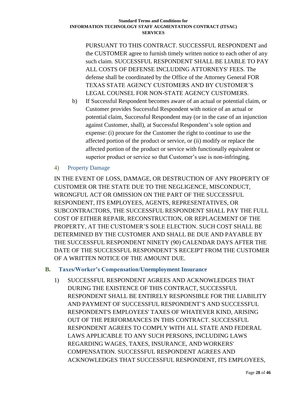PURSUANT TO THIS CONTRACT. SUCCESSFUL RESPONDENT and the CUSTOMER agree to furnish timely written notice to each other of any such claim. SUCCESSFUL RESPONDENT SHALL BE LIABLE TO PAY ALL COSTS OF DEFENSE INCLUDING ATTORNEYS' FEES. The defense shall be coordinated by the Office of the Attorney General FOR TEXAS STATE AGENCY CUSTOMERS AND BY CUSTOMER'S LEGAL COUNSEL FOR NON-STATE AGENCY CUSTOMERS.

- b) If Successful Respondent becomes aware of an actual or potential claim, or Customer provides Successful Respondent with notice of an actual or potential claim, Successful Respondent may (or in the case of an injunction against Customer, shall), at Successful Respondent's sole option and expense: (i) procure for the Customer the right to continue to use the affected portion of the product or service, or (ii) modify or replace the affected portion of the product or service with functionally equivalent or superior product or service so that Customer's use is non-infringing.
- <span id="page-27-0"></span>4) Property Damage

IN THE EVENT OF LOSS, DAMAGE, OR DESTRUCTION OF ANY PROPERTY OF CUSTOMER OR THE STATE DUE TO THE NEGLIGENCE, MISCONDUCT, WRONGFUL ACT OR OMISSION ON THE PART OF THE SUCCESSFUL RESPONDENT, ITS EMPLOYEES, AGENTS, REPRESENTATIVES, OR SUBCONTRACTORS, THE SUCCESSFUL RESPONDENT SHALL PAY THE FULL COST OF EITHER REPAIR, RECONSTRUCTION, OR REPLACEMENT OF THE PROPERTY, AT THE CUSTOMER'S SOLE ELECTION. SUCH COST SHALL BE DETERMINED BY THE CUSTOMER AND SHALL BE DUE AND PAYABLE BY THE SUCCESSFUL RESPONDENT NINETY (90) CALENDAR DAYS AFTER THE DATE OF THE SUCCESSFUL RESPONDENT'S RECEIPT FROM THE CUSTOMER OF A WRITTEN NOTICE OF THE AMOUNT DUE.

## <span id="page-27-1"></span>**B. Taxes/Worker's Compensation/Unemployment Insurance**

1) SUCCESSFUL RESPONDENT AGREES AND ACKNOWLEDGES THAT DURING THE EXISTENCE OF THIS CONTRACT, SUCCESSFUL RESPONDENT SHALL BE ENTIRELY RESPONSIBLE FOR THE LIABILITY AND PAYMENT OF SUCCESSFUL RESPONDENT'S AND SUCCESSFUL RESPONDENT'S EMPLOYEES' TAXES OF WHATEVER KIND, ARISING OUT OF THE PERFORMANCES IN THIS CONTRACT. SUCCESSFUL RESPONDENT AGREES TO COMPLY WITH ALL STATE AND FEDERAL LAWS APPLICABLE TO ANY SUCH PERSONS, INCLUDING LAWS REGARDING WAGES, TAXES, INSURANCE, AND WORKERS' COMPENSATION. SUCCESSFUL RESPONDENT AGREES AND ACKNOWLEDGES THAT SUCCESSFUL RESPONDENT, ITS EMPLOYEES,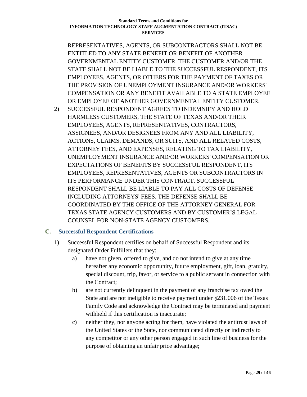REPRESENTATIVES, AGENTS, OR SUBCONTRACTORS SHALL NOT BE ENTITLED TO ANY STATE BENEFIT OR BENEFIT OF ANOTHER GOVERNMENTAL ENTITY CUSTOMER. THE CUSTOMER AND/OR THE STATE SHALL NOT BE LIABLE TO THE SUCCESSFUL RESPONDENT, ITS EMPLOYEES, AGENTS, OR OTHERS FOR THE PAYMENT OF TAXES OR THE PROVISION OF UNEMPLOYMENT INSURANCE AND/OR WORKERS' COMPENSATION OR ANY BENEFIT AVAILABLE TO A STATE EMPLOYEE OR EMPLOYEE OF ANOTHER GOVERNMENTAL ENTITY CUSTOMER.

2) SUCCESSFUL RESPONDENT AGREES TO INDEMNIFY AND HOLD HARMLESS CUSTOMERS, THE STATE OF TEXAS AND/OR THEIR EMPLOYEES, AGENTS, REPRESENTATIVES, CONTRACTORS, ASSIGNEES, AND/OR DESIGNEES FROM ANY AND ALL LIABILITY, ACTIONS, CLAIMS, DEMANDS, OR SUITS, AND ALL RELATED COSTS, ATTORNEY FEES, AND EXPENSES, RELATING TO TAX LIABILITY, UNEMPLOYMENT INSURANCE AND/OR WORKERS' COMPENSATION OR EXPECTATIONS OF BENEFITS BY SUCCESSFUL RESPONDENT, ITS EMPLOYEES, REPRESENTATIVES, AGENTS OR SUBCONTRACTORS IN ITS PERFORMANCE UNDER THIS CONTRACT. SUCCESSFUL RESPONDENT SHALL BE LIABLE TO PAY ALL COSTS OF DEFENSE INCLUDING ATTORNEYS' FEES. THE DEFENSE SHALL BE COORDINATED BY THE OFFICE OF THE ATTORNEY GENERAL FOR TEXAS STATE AGENCY CUSTOMERS AND BY CUSTOMER'S LEGAL COUNSEL FOR NON-STATE AGENCY CUSTOMERS.

## <span id="page-28-0"></span>**C. Successful Respondent Certifications**

- 1) Successful Respondent certifies on behalf of Successful Respondent and its designated Order Fulfillers that they:
	- a) have not given, offered to give, and do not intend to give at any time hereafter any economic opportunity, future employment, gift, loan, gratuity, special discount, trip, favor, or service to a public servant in connection with the Contract;
	- b) are not currently delinquent in the payment of any franchise tax owed the State and are not ineligible to receive payment under §231.006 of the Texas Family Code and acknowledge the Contract may be terminated and payment withheld if this certification is inaccurate;
	- c) neither they, nor anyone acting for them, have violated the antitrust laws of the United States or the State, nor communicated directly or indirectly to any competitor or any other person engaged in such line of business for the purpose of obtaining an unfair price advantage;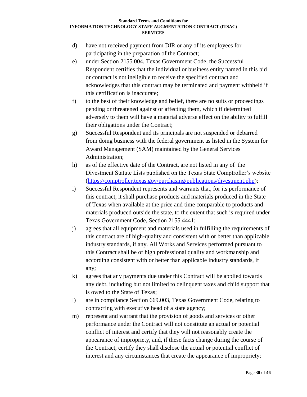- d) have not received payment from DIR or any of its employees for participating in the preparation of the Contract;
- e) under Section 2155.004, Texas Government Code, the Successful Respondent certifies that the individual or business entity named in this bid or contract is not ineligible to receive the specified contract and acknowledges that this contract may be terminated and payment withheld if this certification is inaccurate;
- f) to the best of their knowledge and belief, there are no suits or proceedings pending or threatened against or affecting them, which if determined adversely to them will have a material adverse effect on the ability to fulfill their obligations under the Contract;
- g) Successful Respondent and its principals are not suspended or debarred from doing business with the federal government as listed in the System for Award Management (SAM) maintained by the General Services Administration;
- h) as of the effective date of the Contract, are not listed in any of the Divestment Statute Lists published on the Texas State Comptroller's website [\(https://comptroller.texas.gov/purchasing/publications/divestment.php\)](https://comptroller.texas.gov/purchasing/publications/divestment.php);
- i) Successful Respondent represents and warrants that, for its performance of this contract, it shall purchase products and materials produced in the State of Texas when available at the price and time comparable to products and materials produced outside the state, to the extent that such is required under Texas Government Code, Section 2155.4441;
- j) agrees that all equipment and materials used in fulfilling the requirements of this contract are of high-quality and consistent with or better than applicable industry standards, if any. All Works and Services performed pursuant to this Contract shall be of high professional quality and workmanship and according consistent with or better than applicable industry standards, if any;
- k) agrees that any payments due under this Contract will be applied towards any debt, including but not limited to delinquent taxes and child support that is owed to the State of Texas;
- l) are in compliance Section 669.003, Texas Government Code, relating to contracting with executive head of a state agency;
- m) represent and warrant that the provision of goods and services or other performance under the Contract will not constitute an actual or potential conflict of interest and certify that they will not reasonably create the appearance of impropriety, and, if these facts change during the course of the Contract, certify they shall disclose the actual or potential conflict of interest and any circumstances that create the appearance of impropriety;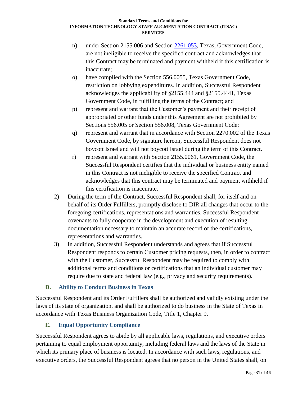- n) under Section 2155.006 and Section [2261.053,](http://www.statutes.legis.state.tx.us/GetStatute.aspx?Code=GV&Value=2261.053&Date=12/11/2015) Texas, Government Code, are not ineligible to receive the specified contract and acknowledges that this Contract may be terminated and payment withheld if this certification is inaccurate;
- o) have complied with the Section 556.0055, Texas Government Code, restriction on lobbying expenditures. In addition, Successful Respondent acknowledges the applicability of §2155.444 and §2155.4441, Texas Government Code, in fulfilling the terms of the Contract; and
- p) represent and warrant that the Customer's payment and their receipt of appropriated or other funds under this Agreement are not prohibited by Sections 556.005 or Section 556.008, Texas Government Code;
- q) represent and warrant that in accordance with Section 2270.002 of the Texas Government Code, by signature hereon, Successful Respondent does not boycott Israel and will not boycott Israel during the term of this Contract.
- r) represent and warrant with Section 2155.0061, Government Code, the Successful Respondent certifies that the individual or business entity named in this Contract is not ineligible to receive the specified Contract and acknowledges that this contract may be terminated and payment withheld if this certification is inaccurate.
- 2) During the term of the Contract, Successful Respondent shall, for itself and on behalf of its Order Fulfillers, promptly disclose to DIR all changes that occur to the foregoing certifications, representations and warranties. Successful Respondent covenants to fully cooperate in the development and execution of resulting documentation necessary to maintain an accurate record of the certifications, representations and warranties.
- 3) In addition, Successful Respondent understands and agrees that if Successful Respondent responds to certain Customer pricing requests, then, in order to contract with the Customer, Successful Respondent may be required to comply with additional terms and conditions or certifications that an individual customer may require due to state and federal law (e.g., privacy and security requirements).

# <span id="page-30-0"></span>**D. Ability to Conduct Business in Texas**

Successful Respondent and its Order Fulfillers shall be authorized and validly existing under the laws of its state of organization, and shall be authorized to do business in the State of Texas in accordance with Texas Business Organization Code, Title 1, Chapter 9.

# <span id="page-30-1"></span>**E. Equal Opportunity Compliance**

Successful Respondent agrees to abide by all applicable laws, regulations, and executive orders pertaining to equal employment opportunity, including federal laws and the laws of the State in which its primary place of business is located. In accordance with such laws, regulations, and executive orders, the Successful Respondent agrees that no person in the United States shall, on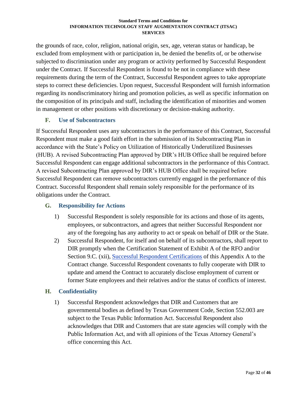the grounds of race, color, religion, national origin, sex, age, veteran status or handicap, be excluded from employment with or participation in, be denied the benefits of, or be otherwise subjected to discrimination under any program or activity performed by Successful Respondent under the Contract. If Successful Respondent is found to be not in compliance with these requirements during the term of the Contract, Successful Respondent agrees to take appropriate steps to correct these deficiencies. Upon request, Successful Respondent will furnish information regarding its nondiscriminatory hiring and promotion policies, as well as specific information on the composition of its principals and staff, including the identification of minorities and women in management or other positions with discretionary or decision-making authority.

# <span id="page-31-0"></span>**F. Use of Subcontractors**

If Successful Respondent uses any subcontractors in the performance of this Contract, Successful Respondent must make a good faith effort in the submission of its Subcontracting Plan in accordance with the State's Policy on Utilization of Historically Underutilized Businesses (HUB). A revised Subcontracting Plan approved by DIR's HUB Office shall be required before Successful Respondent can engage additional subcontractors in the performance of this Contract. A revised Subcontracting Plan approved by DIR's HUB Office shall be required before Successful Respondent can remove subcontractors currently engaged in the performance of this Contract. Successful Respondent shall remain solely responsible for the performance of its obligations under the Contract.

# <span id="page-31-1"></span>**G. Responsibility for Actions**

- 1) Successful Respondent is solely responsible for its actions and those of its agents, employees, or subcontractors, and agrees that neither Successful Respondent nor any of the foregoing has any authority to act or speak on behalf of DIR or the State.
- 2) Successful Respondent, for itself and on behalf of its subcontractors, shall report to DIR promptly when the Certification Statement of Exhibit A of the RFO and/or Section 9.C. (xii), [Successful Respondent](#page-28-0) Certifications of this Appendix A to the Contract change. Successful Respondent covenants to fully cooperate with DIR to update and amend the Contract to accurately disclose employment of current or former State employees and their relatives and/or the status of conflicts of interest.

# <span id="page-31-2"></span>**H. Confidentiality**

1) Successful Respondent acknowledges that DIR and Customers that are governmental bodies as defined by Texas Government Code, Section 552.003 are subject to the Texas Public Information Act. Successful Respondent also acknowledges that DIR and Customers that are state agencies will comply with the Public Information Act, and with all opinions of the Texas Attorney General's office concerning this Act.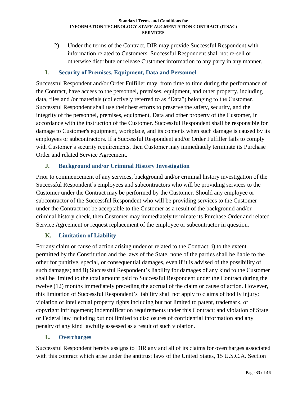2) Under the terms of the Contract, DIR may provide Successful Respondent with information related to Customers. Successful Respondent shall not re-sell or otherwise distribute or release Customer information to any party in any manner.

# <span id="page-32-0"></span>**I. Security of Premises, Equipment, Data and Personnel**

Successful Respondent and/or Order Fulfiller may, from time to time during the performance of the Contract, have access to the personnel, premises, equipment, and other property, including data, files and /or materials (collectively referred to as "Data") belonging to the Customer. Successful Respondent shall use their best efforts to preserve the safety, security, and the integrity of the personnel, premises, equipment, Data and other property of the Customer, in accordance with the instruction of the Customer. Successful Respondent shall be responsible for damage to Customer's equipment, workplace, and its contents when such damage is caused by its employees or subcontractors. If a Successful Respondent and/or Order Fulfiller fails to comply with Customer's security requirements, then Customer may immediately terminate its Purchase Order and related Service Agreement.

# <span id="page-32-1"></span>**J. Background and/or Criminal History Investigation**

Prior to commencement of any services, background and/or criminal history investigation of the Successful Respondent's employees and subcontractors who will be providing services to the Customer under the Contract may be performed by the Customer. Should any employee or subcontractor of the Successful Respondent who will be providing services to the Customer under the Contract not be acceptable to the Customer as a result of the background and/or criminal history check, then Customer may immediately terminate its Purchase Order and related Service Agreement or request replacement of the employee or subcontractor in question.

# <span id="page-32-2"></span>**K. Limitation of Liability**

For any claim or cause of action arising under or related to the Contract: i) to the extent permitted by the Constitution and the laws of the State, none of the parties shall be liable to the other for punitive, special, or consequential damages, even if it is advised of the possibility of such damages; and ii) Successful Respondent's liability for damages of any kind to the Customer shall be limited to the total amount paid to Successful Respondent under the Contract during the twelve (12) months immediately preceding the accrual of the claim or cause of action. However, this limitation of Successful Respondent's liability shall not apply to claims of bodily injury; violation of intellectual property rights including but not limited to patent, trademark, or copyright infringement; indemnification requirements under this Contract; and violation of State or Federal law including but not limited to disclosures of confidential information and any penalty of any kind lawfully assessed as a result of such violation.

# <span id="page-32-3"></span>**L. Overcharges**

Successful Respondent hereby assigns to DIR any and all of its claims for overcharges associated with this contract which arise under the antitrust laws of the United States, 15 U.S.C.A. Section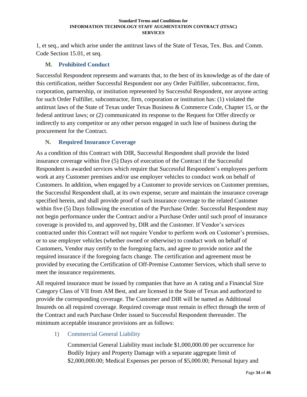1, et seq., and which arise under the antitrust laws of the State of Texas, Tex. Bus. and Comm. Code Section 15.01, et seq.

## <span id="page-33-0"></span>**M. Prohibited Conduct**

Successful Respondent represents and warrants that, to the best of its knowledge as of the date of this certification, neither Successful Respondent nor any Order Fulfiller, subcontractor, firm, corporation, partnership, or institution represented by Successful Respondent, nor anyone acting for such Order Fulfiller, subcontractor, firm, corporation or institution has: (1) violated the antitrust laws of the State of Texas under Texas Business & Commerce Code, Chapter 15, or the federal antitrust laws; or (2) communicated its response to the Request for Offer directly or indirectly to any competitor or any other person engaged in such line of business during the procurement for the Contract.

## <span id="page-33-1"></span>**N. Required Insurance Coverage**

As a condition of this Contract with DIR, Successful Respondent shall provide the listed insurance coverage within five (5) Days of execution of the Contract if the Successful Respondent is awarded services which require that Successful Respondent's employees perform work at any Customer premises and/or use employer vehicles to conduct work on behalf of Customers. In addition, when engaged by a Customer to provide services on Customer premises, the Successful Respondent shall, at its own expense, secure and maintain the insurance coverage specified herein, and shall provide proof of such insurance coverage to the related Customer within five (5) Days following the execution of the Purchase Order. Successful Respondent may not begin performance under the Contract and/or a Purchase Order until such proof of insurance coverage is provided to, and approved by, DIR and the Customer. If Vendor's services contracted under this Contract will not require Vendor to perform work on Customer's premises, or to use employer vehicles (whether owned or otherwise) to conduct work on behalf of Customers, Vendor may certify to the foregoing facts, and agree to provide notice and the required insurance if the foregoing facts change. The certification and agreement must be provided by executing the Certification of Off-Premise Customer Services, which shall serve to meet the insurance requirements.

All required insurance must be issued by companies that have an A rating and a Financial Size Category Class of VII from AM Best, and are licensed in the State of Texas and authorized to provide the corresponding coverage. The Customer and DIR will be named as Additional Insureds on all required coverage. Required coverage must remain in effect through the term of the Contract and each Purchase Order issued to Successful Respondent thereunder. The minimum acceptable insurance provisions are as follows:

<span id="page-33-2"></span>1) Commercial General Liability

Commercial General Liability must include \$1,000,000.00 per occurrence for Bodily Injury and Property Damage with a separate aggregate limit of \$2,000,000.00; Medical Expenses per person of \$5,000.00; Personal Injury and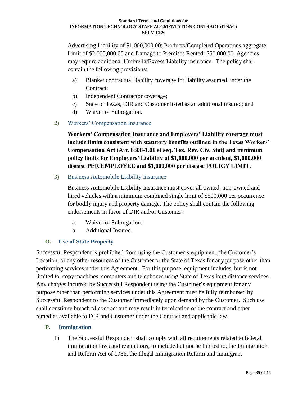Advertising Liability of \$1,000,000.00; Products/Completed Operations aggregate Limit of \$2,000,000.00 and Damage to Premises Rented: \$50,000.00. Agencies may require additional Umbrella/Excess Liability insurance. The policy shall contain the following provisions:

- a) Blanket contractual liability coverage for liability assumed under the Contract;
- b) Independent Contractor coverage;
- c) State of Texas, DIR and Customer listed as an additional insured; and
- d) Waiver of Subrogation.
- <span id="page-34-0"></span>2) Workers' Compensation Insurance

**Workers' Compensation Insurance and Employers' Liability coverage must include limits consistent with statutory benefits outlined in the Texas Workers' Compensation Act (Art. 8308-1.01 et seq. Tex. Rev. Civ. Stat) and minimum policy limits for Employers' Liability of \$1,000,000 per accident, \$1,000,000 disease PER EMPLOYEE and \$1,000,000 per disease POLICY LIMIT.** 

<span id="page-34-1"></span>3) Business Automobile Liability Insurance

Business Automobile Liability Insurance must cover all owned, non-owned and hired vehicles with a minimum combined single limit of \$500,000 per occurrence for bodily injury and property damage. The policy shall contain the following endorsements in favor of DIR and/or Customer:

- a. Waiver of Subrogation;
- b. Additional Insured.

## <span id="page-34-2"></span>**O. Use of State Property**

Successful Respondent is prohibited from using the Customer's equipment, the Customer's Location, or any other resources of the Customer or the State of Texas for any purpose other than performing services under this Agreement. For this purpose, equipment includes, but is not limited to, copy machines, computers and telephones using State of Texas long distance services. Any charges incurred by Successful Respondent using the Customer's equipment for any purpose other than performing services under this Agreement must be fully reimbursed by Successful Respondent to the Customer immediately upon demand by the Customer. Such use shall constitute breach of contract and may result in termination of the contract and other remedies available to DIR and Customer under the Contract and applicable law.

## <span id="page-34-3"></span>**P. Immigration**

1) The Successful Respondent shall comply with all requirements related to federal immigration laws and regulations, to include but not be limited to, the Immigration and Reform Act of 1986, the Illegal Immigration Reform and Immigrant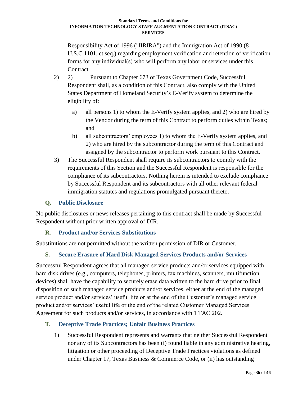Responsibility Act of 1996 ("IIRIRA") and the Immigration Act of 1990 (8 U.S.C.1101, et seq.) regarding employment verification and retention of verification forms for any individual(s) who will perform any labor or services under this Contract.

- 2) 2) Pursuant to Chapter 673 of Texas Government Code, Successful Respondent shall, as a condition of this Contract, also comply with the United States Department of Homeland Security's E-Verify system to determine the eligibility of:
	- a) all persons 1) to whom the E-Verify system applies, and 2) who are hired by the Vendor during the term of this Contract to perform duties within Texas; and
	- b) all subcontractors' employees 1) to whom the E-Verify system applies, and 2) who are hired by the subcontractor during the term of this Contract and assigned by the subcontractor to perform work pursuant to this Contract.
- 3) The Successful Respondent shall require its subcontractors to comply with the requirements of this Section and the Successful Respondent is responsible for the compliance of its subcontractors. Nothing herein is intended to exclude compliance by Successful Respondent and its subcontractors with all other relevant federal immigration statutes and regulations promulgated pursuant thereto.

# <span id="page-35-0"></span>**Q. Public Disclosure**

No public disclosures or news releases pertaining to this contract shall be made by Successful Respondent without prior written approval of DIR.

# <span id="page-35-1"></span>**R. Product and/or Services Substitutions**

<span id="page-35-2"></span>Substitutions are not permitted without the written permission of DIR or Customer.

# **S. Secure Erasure of Hard Disk Managed Services Products and/or Services**

Successful Respondent agrees that all managed service products and/or services equipped with hard disk drives (e.g., computers, telephones, printers, fax machines, scanners, multifunction devices) shall have the capability to securely erase data written to the hard drive prior to final disposition of such managed service products and/or services, either at the end of the managed service product and/or services' useful life or at the end of the Customer's managed service product and/or services' useful life or the end of the related Customer Managed Services Agreement for such products and/or services, in accordance with 1 TAC 202.

# <span id="page-35-3"></span>**T. Deceptive Trade Practices; Unfair Business Practices**

1) Successful Respondent represents and warrants that neither Successful Respondent nor any of its Subcontractors has been (i) found liable in any administrative hearing, litigation or other proceeding of Deceptive Trade Practices violations as defined under Chapter 17, Texas Business & Commerce Code, or (ii) has outstanding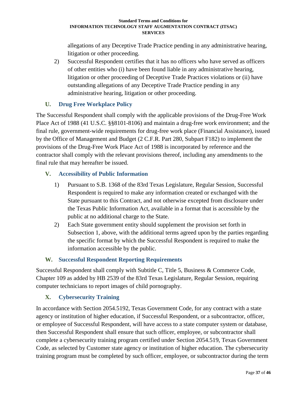allegations of any Deceptive Trade Practice pending in any administrative hearing, litigation or other proceeding.

2) Successful Respondent certifies that it has no officers who have served as officers of other entities who (i) have been found liable in any administrative hearing, litigation or other proceeding of Deceptive Trade Practices violations or (ii) have outstanding allegations of any Deceptive Trade Practice pending in any administrative hearing, litigation or other proceeding.

# <span id="page-36-0"></span>**U. Drug Free Workplace Policy**

The Successful Respondent shall comply with the applicable provisions of the Drug-Free Work Place Act of 1988 (41 U.S.C. §§8101-8106) and maintain a drug-free work environment; and the final rule, government-wide requirements for drug-free work place (Financial Assistance), issued by the Office of Management and Budget (2 C.F.R. Part 280, Subpart F182) to implement the provisions of the Drug-Free Work Place Act of 1988 is incorporated by reference and the contractor shall comply with the relevant provisions thereof, including any amendments to the final rule that may hereafter be issued.

# <span id="page-36-1"></span>**V. Accessibility of Public Information**

- 1) Pursuant to S.B. 1368 of the 83rd Texas Legislature, Regular Session, Successful Respondent is required to make any information created or exchanged with the State pursuant to this Contract, and not otherwise excepted from disclosure under the Texas Public Information Act, available in a format that is accessible by the public at no additional charge to the State.
- 2) Each State government entity should supplement the provision set forth in Subsection 1, above, with the additional terms agreed upon by the parties regarding the specific format by which the Successful Respondent is required to make the information accessible by the public.

# <span id="page-36-2"></span>**W. Successful Respondent Reporting Requirements**

Successful Respondent shall comply with Subtitle C, Title 5, Business & Commerce Code, Chapter 109 as added by HB 2539 of the 83rd Texas Legislature, Regular Session, requiring computer technicians to report images of child pornography.

# <span id="page-36-3"></span>**X. Cybersecurity Training**

In accordance with Section 2054.5192, Texas Government Code, for any contract with a state agency or institution of higher education, if Successful Respondent, or a subcontractor, officer, or employee of Successful Respondent, will have access to a state computer system or database, then Successful Respondent shall ensure that such officer, employee, or subcontractor shall complete a cybersecurity training program certified under Section 2054.519, Texas Government Code, as selected by Customer state agency or institution of higher education. The cybersecurity training program must be completed by such officer, employee, or subcontractor during the term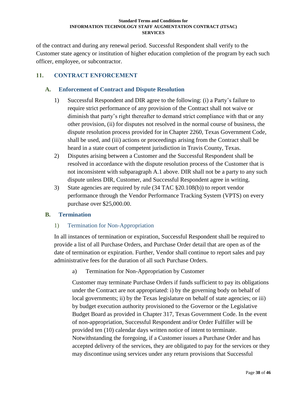of the contract and during any renewal period. Successful Respondent shall verify to the Customer state agency or institution of higher education completion of the program by each such officer, employee, or subcontractor.

# <span id="page-37-0"></span>**11. CONTRACT ENFORCEMENT**

## <span id="page-37-1"></span>**A. Enforcement of Contract and Dispute Resolution**

- 1) Successful Respondent and DIR agree to the following: (i) a Party's failure to require strict performance of any provision of the Contract shall not waive or diminish that party's right thereafter to demand strict compliance with that or any other provision, (ii) for disputes not resolved in the normal course of business, the dispute resolution process provided for in Chapter 2260, Texas Government Code, shall be used, and (iii) actions or proceedings arising from the Contract shall be heard in a state court of competent jurisdiction in Travis County, Texas.
- 2) Disputes arising between a Customer and the Successful Respondent shall be resolved in accordance with the dispute resolution process of the Customer that is not inconsistent with subparagraph A.1 above. DIR shall not be a party to any such dispute unless DIR, Customer, and Successful Respondent agree in writing.
- 3) State agencies are required by rule (34 TAC §20.108(b)) to report vendor performance through the Vendor Performance Tracking System (VPTS) on every purchase over \$25,000.00.

## <span id="page-37-3"></span><span id="page-37-2"></span>**B. Termination**

## 1) Termination for Non-Appropriation

In all instances of termination or expiration, Successful Respondent shall be required to provide a list of all Purchase Orders, and Purchase Order detail that are open as of the date of termination or expiration. Further, Vendor shall continue to report sales and pay administrative fees for the duration of all such Purchase Orders.

a) Termination for Non-Appropriation by Customer

Customer may terminate Purchase Orders if funds sufficient to pay its obligations under the Contract are not appropriated: i) by the governing body on behalf of local governments; ii) by the Texas legislature on behalf of state agencies; or iii) by budget execution authority provisioned to the Governor or the Legislative Budget Board as provided in Chapter 317, Texas Government Code. In the event of non-appropriation, Successful Respondent and/or Order Fulfiller will be provided ten (10) calendar days written notice of intent to terminate. Notwithstanding the foregoing, if a Customer issues a Purchase Order and has accepted delivery of the services, they are obligated to pay for the services or they may discontinue using services under any return provisions that Successful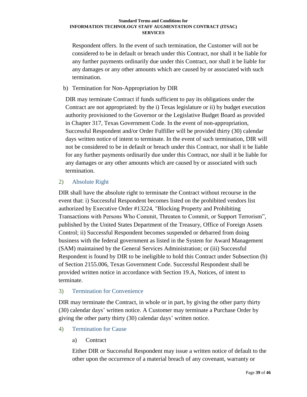Respondent offers. In the event of such termination, the Customer will not be considered to be in default or breach under this Contract, nor shall it be liable for any further payments ordinarily due under this Contract, nor shall it be liable for any damages or any other amounts which are caused by or associated with such termination.

## b) Termination for Non-Appropriation by DIR

DIR may terminate Contract if funds sufficient to pay its obligations under the Contract are not appropriated: by the i) Texas legislature or ii) by budget execution authority provisioned to the Governor or the Legislative Budget Board as provided in Chapter 317, Texas Government Code. In the event of non-appropriation, Successful Respondent and/or Order Fulfiller will be provided thirty (30) calendar days written notice of intent to terminate. In the event of such termination, DIR will not be considered to be in default or breach under this Contract, nor shall it be liable for any further payments ordinarily due under this Contract, nor shall it be liable for any damages or any other amounts which are caused by or associated with such termination.

## <span id="page-38-0"></span>2) Absolute Right

DIR shall have the absolute right to terminate the Contract without recourse in the event that: i) Successful Respondent becomes listed on the prohibited vendors list authorized by Executive Order #13224, "Blocking Property and Prohibiting Transactions with Persons Who Commit, Threaten to Commit, or Support Terrorism", published by the United States Department of the Treasury, Office of Foreign Assets Control; ii) Successful Respondent becomes suspended or debarred from doing business with the federal government as listed in the System for Award Management (SAM) maintained by the General Services Administration; or (iii) Successful Respondent is found by DIR to be ineligible to hold this Contract under Subsection (b) of Section 2155.006, Texas Government Code. Successful Respondent shall be provided written notice in accordance with Section 19.A, Notices, of intent to terminate.

## <span id="page-38-1"></span>3) Termination for Convenience

DIR may terminate the Contract, in whole or in part, by giving the other party thirty (30) calendar days' written notice. A Customer may terminate a Purchase Order by giving the other party thirty (30) calendar days' written notice.

- <span id="page-38-3"></span><span id="page-38-2"></span>4) Termination for Cause
	- a) Contract

Either DIR or Successful Respondent may issue a written notice of default to the other upon the occurrence of a material breach of any covenant, warranty or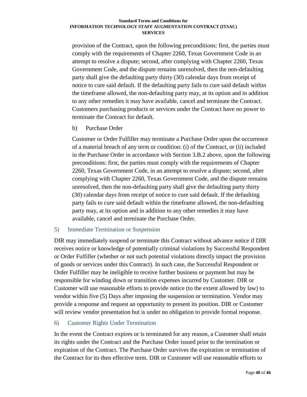provision of the Contract, upon the following preconditions: first, the parties must comply with the requirements of Chapter 2260, Texas Government Code in an attempt to resolve a dispute; second, after complying with Chapter 2260, Texas Government Code, and the dispute remains unresolved, then the non-defaulting party shall give the defaulting party thirty (30) calendar days from receipt of notice to cure said default. If the defaulting party fails to cure said default within the timeframe allowed, the non-defaulting party may, at its option and in addition to any other remedies it may have available, cancel and terminate the Contract. Customers purchasing products or services under the Contract have no power to terminate the Contract for default.

b) Purchase Order

Customer or Order Fulfiller may terminate a Purchase Order upon the occurrence of a material breach of any term or condition: (i) of the Contract, or (ii) included in the Purchase Order in accordance with Section 3.B.2 above, upon the following preconditions: first, the parties must comply with the requirements of Chapter 2260, Texas Government Code, in an attempt to resolve a dispute; second, after complying with Chapter 2260, Texas Government Code, and the dispute remains unresolved, then the non-defaulting party shall give the defaulting party thirty (30) calendar days from receipt of notice to cure said default. If the defaulting party fails to cure said default within the timeframe allowed, the non-defaulting party may, at its option and in addition to any other remedies it may have available, cancel and terminate the Purchase Order.

## <span id="page-39-0"></span>5) Immediate Termination or Suspension

DIR may immediately suspend or terminate this Contract without advance notice if DIR receives notice or knowledge of potentially criminal violations by Successful Respondent or Order Fulfiller (whether or not such potential violations directly impact the provision of goods or services under this Contract). In such case, the Successful Respondent or Order Fulfiller may be ineligible to receive further business or payment but may be responsible for winding down or transition expenses incurred by Customer. DIR or Customer will use reasonable efforts to provide notice (to the extent allowed by law) to vendor within five (5) Days after imposing the suspension or termination. Vendor may provide a response and request an opportunity to present its position. DIR or Customer will review vendor presentation but is under no obligation to provide formal response.

#### <span id="page-39-1"></span>6) Customer Rights Under Termination

In the event the Contract expires or is terminated for any reason, a Customer shall retain its rights under the Contract and the Purchase Order issued prior to the termination or expiration of the Contract. The Purchase Order survives the expiration or termination of the Contract for its then effective term. DIR or Customer will use reasonable efforts to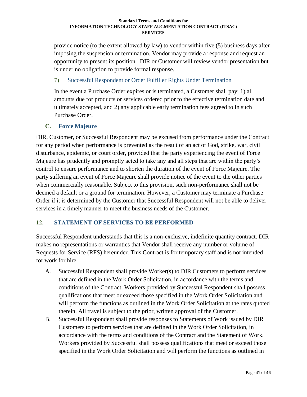provide notice (to the extent allowed by law) to vendor within five (5) business days after imposing the suspension or termination. Vendor may provide a response and request an opportunity to present its position. DIR or Customer will review vendor presentation but is under no obligation to provide formal response.

# <span id="page-40-0"></span>7) Successful Respondent or Order Fulfiller Rights Under Termination

In the event a Purchase Order expires or is terminated, a Customer shall pay: 1) all amounts due for products or services ordered prior to the effective termination date and ultimately accepted, and 2) any applicable early termination fees agreed to in such Purchase Order.

# <span id="page-40-1"></span>**C. Force Majeure**

DIR, Customer, or Successful Respondent may be excused from performance under the Contract for any period when performance is prevented as the result of an act of God, strike, war, civil disturbance, epidemic, or court order, provided that the party experiencing the event of Force Majeure has prudently and promptly acted to take any and all steps that are within the party's control to ensure performance and to shorten the duration of the event of Force Majeure. The party suffering an event of Force Majeure shall provide notice of the event to the other parties when commercially reasonable. Subject to this provision, such non-performance shall not be deemed a default or a ground for termination. However, a Customer may terminate a Purchase Order if it is determined by the Customer that Successful Respondent will not be able to deliver services in a timely manner to meet the business needs of the Customer.

# <span id="page-40-2"></span>**12. STATEMENT OF SERVICES TO BE PERFORMED**

Successful Respondent understands that this is a non-exclusive, indefinite quantity contract. DIR makes no representations or warranties that Vendor shall receive any number or volume of Requests for Service (RFS) hereunder. This Contract is for temporary staff and is not intended for work for hire.

- A. Successful Respondent shall provide Worker(s) to DIR Customers to perform services that are defined in the Work Order Solicitation, in accordance with the terms and conditions of the Contract. Workers provided by Successful Respondent shall possess qualifications that meet or exceed those specified in the Work Order Solicitation and will perform the functions as outlined in the Work Order Solicitation at the rates quoted therein. All travel is subject to the prior, written approval of the Customer.
- B. Successful Respondent shall provide responses to Statements of Work issued by DIR Customers to perform services that are defined in the Work Order Solicitation, in accordance with the terms and conditions of the Contract and the Statement of Work. Workers provided by Successful shall possess qualifications that meet or exceed those specified in the Work Order Solicitation and will perform the functions as outlined in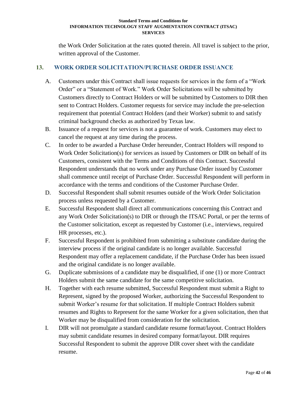the Work Order Solicitation at the rates quoted therein. All travel is subject to the prior, written approval of the Customer.

# <span id="page-41-0"></span>**13. WORK ORDER SOLICITATION/PURCHASE ORDER ISSUANCE**

- A. Customers under this Contract shall issue requests for services in the form of a "Work Order" or a "Statement of Work." Work Order Solicitations will be submitted by Customers directly to Contract Holders or will be submitted by Customers to DIR then sent to Contract Holders. Customer requests for service may include the pre-selection requirement that potential Contract Holders (and their Worker) submit to and satisfy criminal background checks as authorized by Texas law.
- B. Issuance of a request for services is not a guarantee of work. Customers may elect to cancel the request at any time during the process.
- C. In order to be awarded a Purchase Order hereunder, Contract Holders will respond to Work Order Solicitation(s) for services as issued by Customers or DIR on behalf of its Customers, consistent with the Terms and Conditions of this Contract. Successful Respondent understands that no work under any Purchase Order issued by Customer shall commence until receipt of Purchase Order. Successful Respondent will perform in accordance with the terms and conditions of the Customer Purchase Order.
- D. Successful Respondent shall submit resumes outside of the Work Order Solicitation process unless requested by a Customer.
- E. Successful Respondent shall direct all communications concerning this Contract and any Work Order Solicitation(s) to DIR or through the ITSAC Portal, or per the terms of the Customer solicitation, except as requested by Customer (i.e., interviews, required HR processes, etc.).
- F. Successful Respondent is prohibited from submitting a substitute candidate during the interview process if the original candidate is no longer available. Successful Respondent may offer a replacement candidate, if the Purchase Order has been issued and the original candidate is no longer available.
- G. Duplicate submissions of a candidate may be disqualified, if one (1) or more Contract Holders submit the same candidate for the same competitive solicitation.
- H. Together with each resume submitted, Successful Respondent must submit a Right to Represent, signed by the proposed Worker, authorizing the Successful Respondent to submit Worker's resume for that solicitation. If multiple Contract Holders submit resumes and Rights to Represent for the same Worker for a given solicitation, then that Worker may be disqualified from consideration for the solicitation.
- I. DIR will not promulgate a standard candidate resume format/layout. Contract Holders may submit candidate resumes in desired company format/layout. DIR requires Successful Respondent to submit the approve DIR cover sheet with the candidate resume.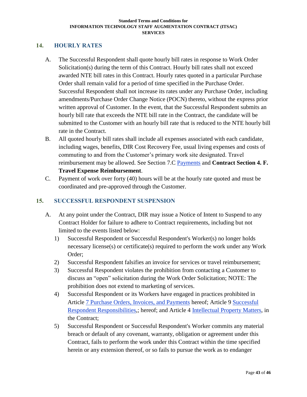## <span id="page-42-0"></span>**14. HOURLY RATES**

- A. The Successful Respondent shall quote hourly bill rates in response to Work Order Solicitation(s) during the term of this Contract. Hourly bill rates shall not exceed awarded NTE bill rates in this Contract. Hourly rates quoted in a particular Purchase Order shall remain valid for a period of time specified in the Purchase Order. Successful Respondent shall not increase its rates under any Purchase Order, including amendments/Purchase Order Change Notice (POCN) thereto, without the express prior written approval of Customer. In the event, that the Successful Respondent submits an hourly bill rate that exceeds the NTE bill rate in the Contract, the candidate will be submitted to the Customer with an hourly bill rate that is reduced to the NTE hourly bill rate in the Contract.
- B. All quoted hourly bill rates shall include all expenses associated with each candidate, including wages, benefits, DIR Cost Recovery Fee, usual living expenses and costs of commuting to and from the Customer's primary work site designated. Travel reimbursement may be allowed. See Section 7.C [Payments](#page-20-4) and **Contract Section 4. F. Travel Expense Reimbursement**.
- C. Payment of work over forty (40) hours will be at the hourly rate quoted and must be coordinated and pre-approved through the Customer.

# <span id="page-42-1"></span>**15. SUCCESSFUL RESPONDENT SUSPENSION**

- A. At any point under the Contract, DIR may issue a Notice of Intent to Suspend to any Contract Holder for failure to adhere to Contract requirements, including but not limited to the events listed below:
	- 1) Successful Respondent or Successful Respondent's Worker(s) no longer holds necessary license(s) or certificate(s) required to perform the work under any Work Order;
	- 2) Successful Respondent falsifies an invoice for services or travel reimbursement;
	- 3) Successful Respondent violates the prohibition from contacting a Customer to discuss an "open" solicitation during the Work Order Solicitation; NOTE: The prohibition does not extend to marketing of services.
	- 4) Successful Respondent or its Workers have engaged in practices prohibited in Article 7 [Purchase Orders, Invoices, and Payments](#page-20-1) hereof; Article 9 [Successful](#page-26-0)  Respondent [Responsibilities,](#page-26-0); hereof; and Article 4 [Intellectual Property](#page-10-2) Matters, in the Contract;
	- 5) Successful Respondent or Successful Respondent's Worker commits any material breach or default of any covenant, warranty, obligation or agreement under this Contract, fails to perform the work under this Contract within the time specified herein or any extension thereof, or so fails to pursue the work as to endanger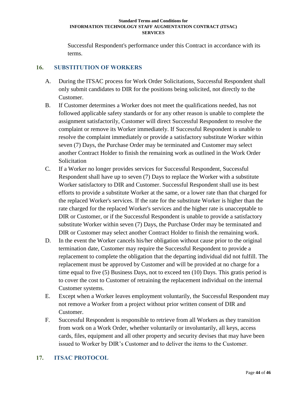Successful Respondent's performance under this Contract in accordance with its terms.

# <span id="page-43-0"></span>**16. SUBSTITUTION OF WORKERS**

- A. During the ITSAC process for Work Order Solicitations, Successful Respondent shall only submit candidates to DIR for the positions being solicited, not directly to the Customer.
- B. If Customer determines a Worker does not meet the qualifications needed, has not followed applicable safety standards or for any other reason is unable to complete the assignment satisfactorily, Customer will direct Successful Respondent to resolve the complaint or remove its Worker immediately. If Successful Respondent is unable to resolve the complaint immediately or provide a satisfactory substitute Worker within seven (7) Days, the Purchase Order may be terminated and Customer may select another Contract Holder to finish the remaining work as outlined in the Work Order **Solicitation**
- C. If a Worker no longer provides services for Successful Respondent, Successful Respondent shall have up to seven (7) Days to replace the Worker with a substitute Worker satisfactory to DIR and Customer. Successful Respondent shall use its best efforts to provide a substitute Worker at the same, or a lower rate than that charged for the replaced Worker's services. If the rate for the substitute Worker is higher than the rate charged for the replaced Worker's services and the higher rate is unacceptable to DIR or Customer, or if the Successful Respondent is unable to provide a satisfactory substitute Worker within seven (7) Days, the Purchase Order may be terminated and DIR or Customer may select another Contract Holder to finish the remaining work.
- D. In the event the Worker cancels his/her obligation without cause prior to the original termination date, Customer may require the Successful Respondent to provide a replacement to complete the obligation that the departing individual did not fulfill. The replacement must be approved by Customer and will be provided at no charge for a time equal to five (5) Business Days, not to exceed ten (10) Days. This gratis period is to cover the cost to Customer of retraining the replacement individual on the internal Customer systems.
- E. Except when a Worker leaves employment voluntarily, the Successful Respondent may not remove a Worker from a project without prior written consent of DIR and Customer.
- F. Successful Respondent is responsible to retrieve from all Workers as they transition from work on a Work Order, whether voluntarily or involuntarily, all keys, access cards, files, equipment and all other property and security devises that may have been issued to Worker by DIR's Customer and to deliver the items to the Customer.

# <span id="page-43-1"></span>**17. ITSAC PROTOCOL**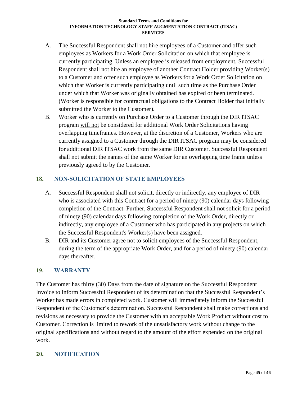- A. The Successful Respondent shall not hire employees of a Customer and offer such employees as Workers for a Work Order Solicitation on which that employee is currently participating. Unless an employee is released from employment, Successful Respondent shall not hire an employee of another Contract Holder providing Worker(s) to a Customer and offer such employee as Workers for a Work Order Solicitation on which that Worker is currently participating until such time as the Purchase Order under which that Worker was originally obtained has expired or been terminated. (Worker is responsible for contractual obligations to the Contract Holder that initially submitted the Worker to the Customer).
- B. Worker who is currently on Purchase Order to a Customer through the DIR ITSAC program will not be considered for additional Work Order Solicitations having overlapping timeframes. However, at the discretion of a Customer, Workers who are currently assigned to a Customer through the DIR ITSAC program may be considered for additional DIR ITSAC work from the same DIR Customer. Successful Respondent shall not submit the names of the same Worker for an overlapping time frame unless previously agreed to by the Customer.

# <span id="page-44-0"></span>**18. NON-SOLICITATION OF STATE EMPLOYEES**

- A. Successful Respondent shall not solicit, directly or indirectly, any employee of DIR who is associated with this Contract for a period of ninety (90) calendar days following completion of the Contract. Further, Successful Respondent shall not solicit for a period of ninety (90) calendar days following completion of the Work Order, directly or indirectly, any employee of a Customer who has participated in any projects on which the Successful Respondent's Worker(s) have been assigned.
- B. DIR and its Customer agree not to solicit employees of the Successful Respondent, during the term of the appropriate Work Order, and for a period of ninety (90) calendar days thereafter.

## <span id="page-44-1"></span>**19. WARRANTY**

The Customer has thirty (30) Days from the date of signature on the Successful Respondent Invoice to inform Successful Respondent of its determination that the Successful Respondent's Worker has made errors in completed work. Customer will immediately inform the Successful Respondent of the Customer's determination. Successful Respondent shall make corrections and revisions as necessary to provide the Customer with an acceptable Work Product without cost to Customer. Correction is limited to rework of the unsatisfactory work without change to the original specifications and without regard to the amount of the effort expended on the original work.

# <span id="page-44-2"></span>**20. NOTIFICATION**